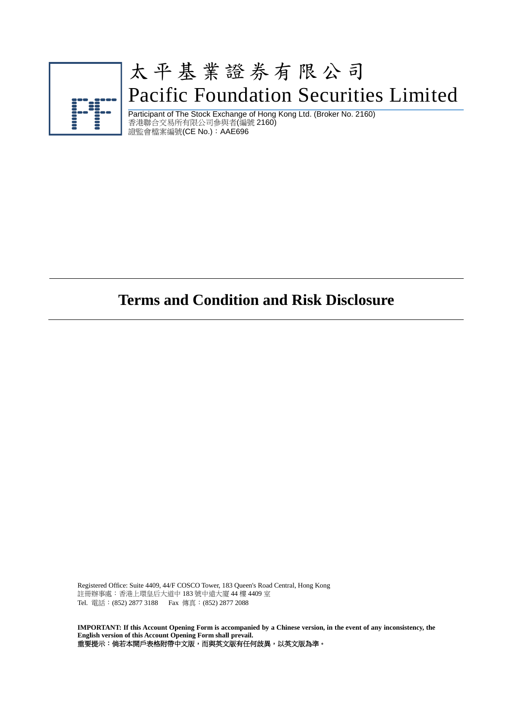

# 太平基業證券有限公司 Pacific Foundation Securities Limited

Participant of The Stock Exchange of Hong Kong Ltd. (Broker No. 2160) 香港聯合交易所有限公司參與者(編號 2160) 證監會檔案編號(CE No.):AAE696

# **Terms and Condition and Risk Disclosure**

Registered Office: Suite 4409, 44/F COSCO Tower, 183 Queen's Road Central, Hong Kong 註冊辦事處︰香港上環皇后大道中 183 號中遠大廈 44 樓 4409 室 Tel. 電話︰(852) 2877 3188 Fax 傳真︰(852) 2877 2088

**IMPORTANT: If this Account Opening Form is accompanied by a Chinese version, in the event of any inconsistency, the English version of this Account Opening Form shall prevail.** 重要提示:倘若本開戶表格附帶中文版,而與英文版有任何歧異,以英文版為準。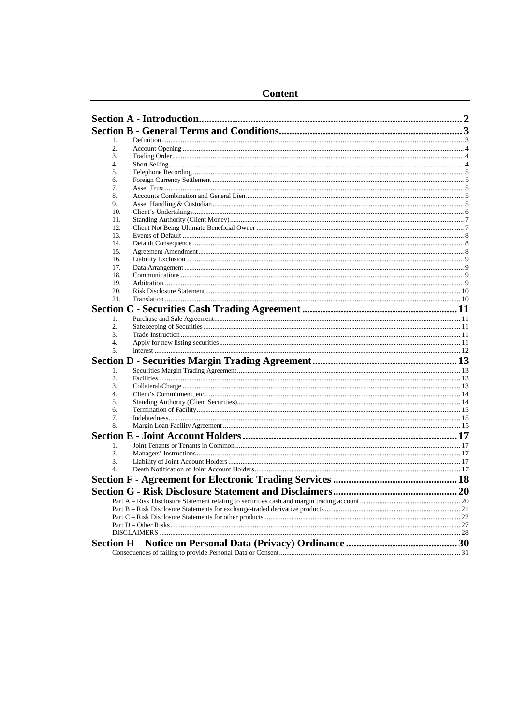| <b>Content</b> |  |  |
|----------------|--|--|
|                |  |  |
|                |  |  |
| 1.             |  |  |
| 2.             |  |  |
| 3.             |  |  |
| 4.             |  |  |
| 5.             |  |  |
| 6.             |  |  |
| 7.             |  |  |
| 8.             |  |  |
| 9.             |  |  |
| 10.            |  |  |
| 11.            |  |  |
| 12.            |  |  |
| 13.            |  |  |
| 14.            |  |  |
| 15.            |  |  |
| 16.            |  |  |
| 17.            |  |  |
| 18.            |  |  |
| 19.<br>20.     |  |  |
| 21.            |  |  |
|                |  |  |
|                |  |  |
| 1.             |  |  |
| 2.             |  |  |
| 3.             |  |  |
| 4.             |  |  |
| 5.             |  |  |
|                |  |  |
| 1.             |  |  |
| 2.             |  |  |
| 3.             |  |  |
| 4.             |  |  |
| 5.             |  |  |
| 6.             |  |  |
| 7.             |  |  |
| 8.             |  |  |
|                |  |  |
| 1.             |  |  |
| 2.             |  |  |
| 3.             |  |  |
| 4.             |  |  |
|                |  |  |
|                |  |  |
|                |  |  |
|                |  |  |
|                |  |  |
|                |  |  |
|                |  |  |
|                |  |  |
|                |  |  |
|                |  |  |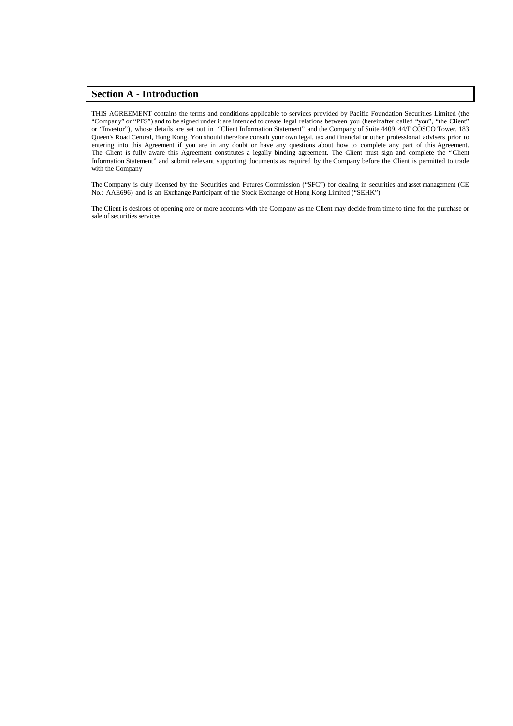## <span id="page-2-0"></span>**Section A - Introduction**

THIS AGREEMENT contains the terms and conditions applicable to services provided by Pacific Foundation Securities Limited (the "Company" or "PFS") and to be signed under it are intended to create legal relations between you (hereinafter called "you", "the Client" or "Investor"), whose details are set out in "Client Information Statement" and the Company of Suite 4409, 44/F COSCO Tower, 183 Queen's Road Central, Hong Kong. You should therefore consult your own legal, tax and financial or other professional advisers prior to entering into this Agreement if you are in any doubt or have any questions about how to complete any part of this Agreement. The Client is fully aware this Agreement constitutes a legally binding agreement. The Client must sign and complete the "Client Information Statement" and submit relevant supporting documents as required by the Company before the Client is permitted to trade with the Company

The Company is duly licensed by the Securities and Futures Commission ("SFC") for dealing in securities and asset management (CE No.: AAE696) and is an Exchange Participant of the Stock Exchange of Hong Kong Limited ("SEHK").

The Client is desirous of opening one or more accounts with the Company as the Client may decide from time to time for the purchase or sale of securities services.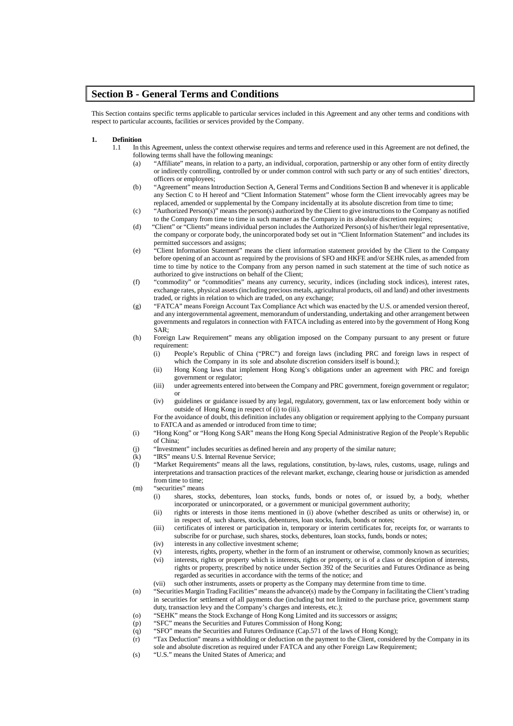## <span id="page-3-0"></span>**Section B - General Terms and Conditions**

This Section contains specific terms applicable to particular services included in this Agreement and any other terms and conditions with respect to particular accounts, facilities or services provided by the Company.

## <span id="page-3-1"></span>**1. Definition**

- 1.1 In this Agreement, unless the context otherwise requires and terms and reference used in this Agreement are not defined, the following terms shall have the following meanings:
	- (a) "Affiliate" means, in relation to a party, an individual, corporation, partnership or any other form of entity directly or indirectly controlling, controlled by or under common control with such party or any of such entities' directors, officers or employees;
	- (b) "Agreement" means Introduction Section A, General Terms and Conditions Section B and whenever it is applicable any Section C to H hereof and "Client Information Statement" whose form the Client irrevocably agrees may be replaced, amended or supplemental by the Company incidentally at its absolute discretion from time to time;
	- (c) "Authorized Person(s)" means the person(s) authorized by the Client to give instructions to the Company as notified to the Company from time to time in such manner as the Company in its absolute discretion requires;
	- (d) "Client" or "Clients" means individual person includes the Authorized Person(s) of his/her/their legal representative, the company or corporate body, the unincorporated body set out in "Client Information Statement" and includes its permitted successors and assigns;
	- (e) "Client Information Statement" means the client information statement provided by the Client to the Company before opening of an account as required by the provisions of SFO and HKFE and/or SEHK rules, as amended from time to time by notice to the Company from any person named in such statement at the time of such notice as authorized to give instructions on behalf of the Client;
	- (f) "commodity" or "commodities" means any currency, security, indices (including stock indices), interest rates, exchange rates, physical assets(including precious metals, agricultural products, oil and land) and other investments traded, or rights in relation to which are traded, on any exchange;
	- (g) "FATCA" means Foreign Account Tax Compliance Act which was enacted by the U.S. or amended version thereof, and any intergovernmental agreement, memorandum of understanding, undertaking and other arrangement between governments and regulators in connection with FATCA including as entered into by the government of Hong Kong SAR;
	- (h) Foreign Law Requirement" means any obligation imposed on the Company pursuant to any present or future requirement:
		- (i) People's Republic of China ("PRC") and foreign laws (including PRC and foreign laws in respect of which the Company in its sole and absolute discretion considers itself is bound.):
		- (ii) Hong Kong laws that implement Hong Kong's obligations under an agreement with PRC and foreign government or regulator;
		- (iii) under agreements entered into between the Company and PRC government, foreign government or regulator; or
		- (iv) guidelines or guidance issued by any legal, regulatory, government, tax or law enforcement body within or outside of Hong Kong in respect of (i) to (iii).
		- For the avoidance of doubt, this definition includes any obligation or requirement applying to the Company pursuant to FATCA and as amended or introduced from time to time;
	- (i) "Hong Kong" or "Hong Kong SAR" meansthe Hong Kong Special Administrative Region of the People's Republic of China;
	- (j) "Investment" includes securities as defined herein and any property of the similar nature;
	- (k) "IRS" means U.S. Internal Revenue Service;<br>(1) "Market Requirements" means all the laws.
	- "Market Requirements" means all the laws, regulations, constitution, by-laws, rules, customs, usage, rulings and interpretations and transaction practices of the relevant market, exchange, clearing house or jurisdiction as amended from time to time;
	- (m) "securities" means
		- (i) shares, stocks, debentures, loan stocks, funds, bonds or notes of, or issued by, a body, whether incorporated or unincorporated, or a government or municipal government authority;
		- (ii) rights or interests in those items mentioned in (i) above (whether described as units or otherwise) in, or in respect of, such shares, stocks, debentures, loan stocks, funds, bonds or notes;
		- (iii) certificates of interest or participation in, temporary or interim certificates for, receipts for, or warrants to subscribe for or purchase, such shares, stocks, debentures, loan stocks, funds, bonds or notes;
		- (iv) interests in any collective investment scheme;
		- (v) interests, rights, property, whether in the form of an instrument or otherwise, commonly known as securities;<br>(vi) interests, rights or property which is interests, rights or property, or is of a class or description o
		- interests, rights or property which is interests, rights or property, or is of a class or description of interests, rights or property, prescribed by notice under Section 392 of the Securities and Futures Ordinance as being regarded as securities in accordance with the terms of the notice; and
		- (vii) such other instruments, assets or property as the Company may determine from time to time.
	- (n) "SecuritiesMargin Trading Facilities" meansthe advance(s) made by the Company in facilitating the Client'strading in securities for settlement of all payments due (including but not limited to the purchase price, government stamp duty, transaction levy and the Company's charges and interests, etc.);
	- (o) "SEHK" means the Stock Exchange of Hong Kong Limited and its successors or assigns;
	- (p) "SFC" means the Securities and Futures Commission of Hong Kong;
	- (q) "SFO" means the Securities and Futures Ordinance (Cap.571 of the laws of Hong Kong);
	- (r) "Tax Deduction" means a withholding or deduction on the payment to the Client, considered by the Company in its sole and absolute discretion as required under FATCA and any other Foreign Law Requirement;
	- (s) "U.S." means the United States of America; and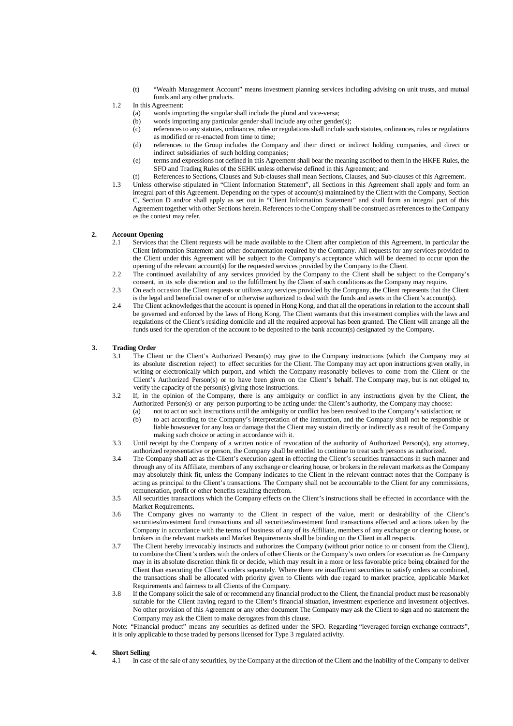(t) "Wealth Management Account" means investment planning services including advising on unit trusts, and mutual funds and any other products.

#### 1.2 In this Agreement:

- (a) words importing the singular shall include the plural and vice-versa;<br>(b) words importing any particular gender shall include any other gender
- words importing any particular gender shall include any other gender(s);
- (c) referencesto any statutes, ordinances, rules or regulations shall include such statutes, ordinances, rules or regulations as modified or re-enacted from time to time;
- (d) references to the Group includes the Company and their direct or indirect holding companies, and direct or indirect subsidiaries of such holding companies;
- (e) terms and expressions not defined in this Agreement shall bear the meaning ascribed to them in the HKFE Rules, the SFO and Trading Rules of the SEHK unless otherwise defined in this Agreement; and
- (f) References to Sections, Clauses and Sub-clauses shall mean Sections, Clauses, and Sub-clauses of this Agreement.
- 1.3 Unless otherwise stipulated in "Client Information Statement", all Sections in this Agreement shall apply and form an integral part of this Agreement. Depending on the types of account(s) maintained by the Client with the Company, Section C, Section D and/or shall apply as set out in "Client Information Statement" and shall form an integral part of this Agreement together with other Sections herein. References to the Company shall be construed as references to the Company as the context may refer.

#### <span id="page-4-0"></span>**2. Account Opening**

- 2.1 Services that the Client requests will be made available to the Client after completion of this Agreement, in particular the Client Information Statement and other documentation required by the Company. All requests for any services provided to the Client under this Agreement will be subject to the Company's acceptance which will be deemed to occur upon the opening of the relevant account(s) for the requested services provided by the Company to the Client.
- 2.2 The continued availability of any services provided by the Company to the Client shall be subject to the Company's consent, in its sole discretion and to the fulfillment by the Client of such conditions as the Company may require.
- 2.3 On each occasion the Client requests or utilizes any services provided by the Company, the Client represents that the Client is the legal and beneficial owner of or otherwise authorized to deal with the funds and assets in the Client's account(s).
- 2.4 The Client acknowledgesthat the account is opened in Hong Kong, and that all the operationsin relation to the account shall be governed and enforced by the laws of Hong Kong. The Client warrants that this investment complies with the laws and regulations of the Client's residing domicile and all the required approval has been granted. The Client will arrange all the funds used for the operation of the account to be deposited to the bank account(s) designated by the Company.

#### <span id="page-4-1"></span>**3. Trading Order**

- 3.1 The Client or the Client's Authorized Person(s) may give to the Company instructions (which the Company may at its absolute discretion reject) to effect securities for the Client. The Company may act upon instructions given orally, in writing or electronically which purport, and which the Company reasonably believes to come from the Client or the Client's Authorized Person(s) or to have been given on the Client's behalf. The Company may, but is not obliged to, verify the capacity of the person(s) giving those instructions.
- 3.2 If, in the opinion of the Company, there is any ambiguity or conflict in any instructions given by the Client, the Authorized Person(s) or any person purporting to be acting under the Client's authority, the Company may choose:
	- (a) not to act on such instructions until the ambiguity or conflict has been resolved to the Company's satisfaction; or
	- (b) to act according to the Company's interpretation of the instruction, and the Company shall not be responsible or liable howsoever for any loss or damage that the Client may sustain directly or indirectly as a result of the Company making such choice or acting in accordance with it.
- 3.3 Until receipt by the Company of a written notice of revocation of the authority of Authorized Person(s), any attorney, authorized representative or person, the Company shall be entitled to continue to treat such persons as authorized.
- 3.4 The Company shall act as the Client's execution agent in effecting the Client's securities transactions in such manner and through any of its Affiliate, members of any exchange or clearing house, or brokers in the relevant markets as the Company may absolutely think fit, unless the Company indicates to the Client in the relevant contract notes that the Company is acting as principal to the Client's transactions. The Company shall not be accountable to the Client for any commissions, remuneration, profit or other benefits resulting therefrom.
- 3.5 All securities transactions which the Company effects on the Client's instructions shall be effected in accordance with the Market Requirements.
- 3.6 The Company gives no warranty to the Client in respect of the value, merit or desirability of the Client's securities/investment fund transactions and all securities/investment fund transactions effected and actions taken by the Company in accordance with the terms of business of any of its Affiliate, members of any exchange or clearing house, or brokers in the relevant markets and Market Requirements shall be binding on the Client in all respects.
- 3.7 The Client hereby irrevocably instructs and authorizes the Company (without prior notice to or consent from the Client), to combine the Client's orders with the orders of other Clients or the Company's own orders for execution as the Company may in its absolute discretion think fit or decide, which may result in a more or less favorable price being obtained for the Client than executing the Client's orders separately. Where there are insufficient securities to satisfy orders so combined, the transactions shall be allocated with priority given to Clients with due regard to market practice, applicable Market Requirements and fairness to all Clients of the Company.
- 3.8 If the Company solicit the sale of or recommend any financial product to the Client, the financial product must be reasonably suitable for the Client having regard to the Client's financial situation, investment experience and investment objectives. No other provision of this Agreement or any other document The Company may ask the Client to sign and no statement the Company may ask the Client to make derogates from this clause.

Note: "Financial product" means any securities as defined under the SFO. Regarding "leveraged foreign exchange contracts", it is only applicable to those traded by persons licensed for Type 3 regulated activity.

#### <span id="page-4-2"></span>**4. Short Selling**

4.1 In case of the sale of any securities, by the Company at the direction of the Client and the inability of the Company to deliver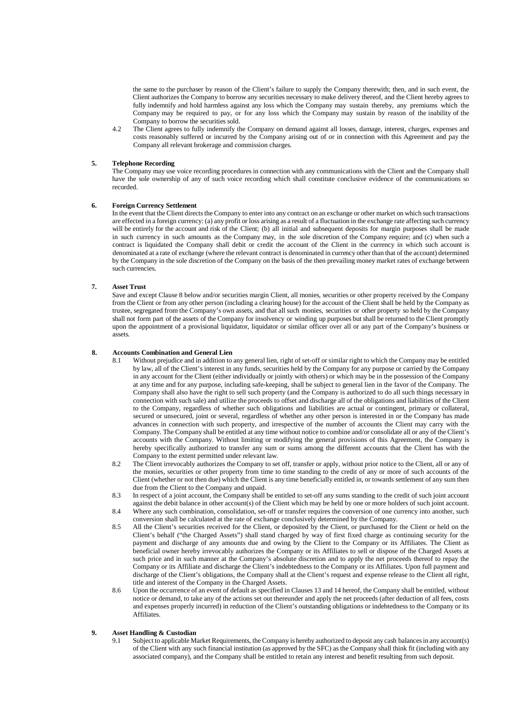the same to the purchaser by reason of the Client's failure to supply the Company therewith; then, and in such event, the Client authorizes the Company to borrow any securities necessary to make delivery thereof, and the Client hereby agrees to fully indemnify and hold harmless against any loss which the Company may sustain thereby, any premiums which the Company may be required to pay, or for any loss which the Company may sustain by reason of the inability of the Company to borrow the securities sold.

4.2 The Client agrees to fully indemnify the Company on demand against all losses, damage, interest, charges, expenses and costs reasonably suffered or incurred by the Company arising out of or in connection with this Agreement and pay the Company all relevant brokerage and commission charges.

#### <span id="page-5-0"></span>**5. Telephone Recording**

The Company may use voice recording procedures in connection with any communications with the Client and the Company shall have the sole ownership of any of such voice recording which shall constitute conclusive evidence of the communications so recorded.

#### <span id="page-5-1"></span>**6. Foreign Currency Settlement**

In the event that the Client directs the Company to enter into any contract on an exchange or other market on which such transactions are effected in a foreign currency: (a) any profit or loss arising as a result of a fluctuation in the exchange rate affecting such currency will be entirely for the account and risk of the Client; (b) all initial and subsequent deposits for margin purposes shall be made in such currency in such amounts as the Company may, in the sole discretion of the Company require; and (c) when such a contract is liquidated the Company shall debit or credit the account of the Client in the currency in which such account is denominated at a rate of exchange (where the relevant contract is denominated in currency other than that of the account) determined by the Company in the sole discretion of the Company on the basis of the then prevailing money market rates of exchange between such currencies.

#### <span id="page-5-2"></span>**7. Asset Trust**

Save and except Clause 8 below and/or securities margin Client, all monies, securities or other property received by the Company from the Client or from any other person (including a clearing house) for the account of the Client shall be held by the Company as trustee, segregated from the Company's own assets, and that all such monies, securities or other property so held by the Company shall not form part of the assets of the Company for insolvency or winding up purposes but shall be returned to the Client promptly upon the appointment of a provisional liquidator, liquidator or similar officer over all or any part of the Company's business or assets.

## <span id="page-5-3"></span>**8. Accounts Combination and General Lien**

- Without prejudice and in addition to any general lien, right of set-off or similar right to which the Company may be entitled by law, all of the Client's interest in any funds, securities held by the Company for any purpose or carried by the Company in any account for the Client (either individually or jointly with others) or which may be in the possession of the Company at any time and for any purpose, including safe-keeping, shall be subject to general lien in the favor of the Company. The Company shall also have the right to sell such property (and the Company is authorized to do all such things necessary in connection with such sale) and utilize the proceeds to offset and discharge all of the obligations and liabilities of the Client to the Company, regardless of whether such obligations and liabilities are actual or contingent, primary or collateral, secured or unsecured, joint or several, regardless of whether any other person is interested in or the Company has made advances in connection with such property, and irrespective of the number of accounts the Client may carry with the Company. The Company shall be entitled at any time without notice to combine and/or consolidate all or any of the Client's accounts with the Company. Without limiting or modifying the general provisions of this Agreement, the Company is hereby specifically authorized to transfer any sum or sums among the different accounts that the Client has with the Company to the extent permitted under relevant law.
- 8.2 The Client irrevocably authorizes the Company to set off, transfer or apply, without prior notice to the Client, all or any of the monies, securities or other property from time to time standing to the credit of any or more of such accounts of the Client (whether or not then due) which the Client is any time beneficially entitled in, or towards settlement of any sum then due from the Client to the Company and unpaid.
- 8.3 In respect of a joint account, the Company shall be entitled to set-off any sums standing to the credit of such joint account against the debit balance in other account(s) of the Client which may be held by one or more holders of such joint account.
- 8.4 Where any such combination, consolidation, set-off or transfer requires the conversion of one currency into another, such conversion shall be calculated at the rate of exchange conclusively determined by the Company.
- 8.5 All the Client's securities received for the Client, or deposited by the Client, or purchased for the Client or held on the Client's behalf ("the Charged Assets") shall stand charged by way of first fixed charge as continuing security for the payment and discharge of any amounts due and owing by the Client to the Company or its Affiliates. The Client as beneficial owner hereby irrevocably authorizes the Company or its Affiliates to sell or dispose of the Charged Assets at such price and in such manner at the Company's absolute discretion and to apply the net proceeds thereof to repay the Company or its Affiliate and discharge the Client's indebtedness to the Company or its Affiliates. Upon full payment and discharge of the Client's obligations, the Company shall at the Client's request and expense release to the Client all right, title and interest of the Company in the Charged Assets.
- 8.6 Upon the occurrence of an event of default as specified in Clauses 13 and 14 hereof, the Company shall be entitled, without notice or demand, to take any of the actions set out thereunder and apply the net proceeds (after deduction of all fees, costs and expenses properly incurred) in reduction of the Client's outstanding obligations or indebtedness to the Company or its Affiliates.

## <span id="page-5-4"></span>**9. Asset Handling & Custodian**

9.1 Subject to applicable Market Requirements, the Company is hereby authorized to deposit any cash balancesin any account(s) of the Client with any such financial institution (as approved by the SFC) asthe Company shall think fit (including with any associated company), and the Company shall be entitled to retain any interest and benefit resulting from such deposit.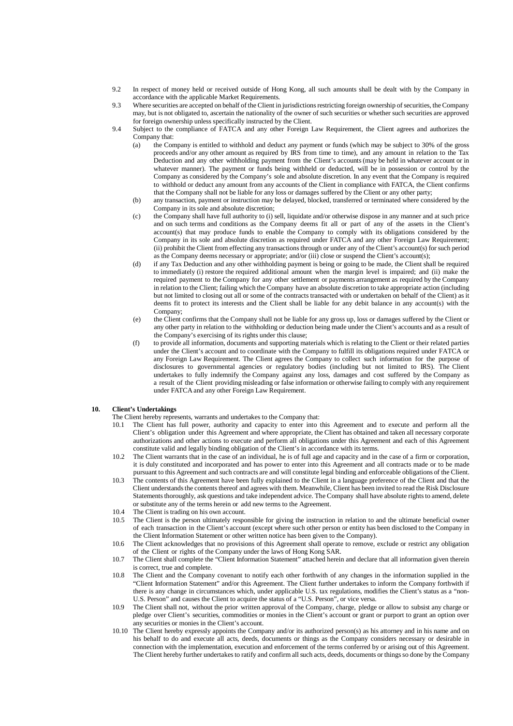- 9.2 In respect of money held or received outside of Hong Kong, all such amounts shall be dealt with by the Company in accordance with the applicable Market Requirements.
- 9.3 Where securities are accepted on behalf of the Client in jurisdictionsrestricting foreign ownership of securities, the Company may, but is not obligated to, ascertain the nationality of the owner of such securities or whether such securities are approved for foreign ownership unless specifically instructed by the Client.
- 9.4 Subject to the compliance of FATCA and any other Foreign Law Requirement, the Client agrees and authorizes the Company that:
	- (a) the Company is entitled to withhold and deduct any payment or funds (which may be subject to 30% of the gross proceeds and/or any other amount as required by IRS from time to time), and any amount in relation to the Tax Deduction and any other withholding payment from the Client's accounts(may be held in whatever account or in whatever manner). The payment or funds being withheld or deducted, will be in possession or control by the Company as considered by the Company's sole and absolute discretion. In any event that the Company is required to withhold or deduct any amount from any accounts of the Client in compliance with FATCA, the Client confirms that the Company shall not be liable for any loss or damages suffered by the Client or any other party;
	- (b) any transaction, payment or instruction may be delayed, blocked, transferred or terminated where considered by the Company in its sole and absolute discretion;
	- (c) the Company shall have full authority to (i) sell, liquidate and/or otherwise dispose in any manner and at such price and on such terms and conditions as the Company deems fit all or part of any of the assets in the Client's account(s) that may produce funds to enable the Company to comply with its obligations considered by the Company in its sole and absolute discretion as required under FATCA and any other Foreign Law Requirement; (ii) prohibit the Client from effecting any transactionsthrough or under any of the Client's account(s) for such period as the Company deems necessary or appropriate; and/or (iii) close or suspend the Client's account(s);
	- (d) if any Tax Deduction and any other withholding payment is being or going to be made, the Client shall be required to immediately (i) restore the required additional amount when the margin level is impaired; and (ii) make the required payment to the Company for any other settlement or payments arrangement as required by the Company in relation to the Client; failing which the Company have an absolute discretion to take appropriate action (including but not limited to closing out all or some of the contracts transacted with or undertaken on behalf of the Client) as it deems fit to protect its interests and the Client shall be liable for any debit balance in any account(s) with the Company;
	- (e) the Client confirms that the Company shall not be liable for any gross up, loss or damages suffered by the Client or any other party in relation to the withholding or deduction being made under the Client's accounts and as a result of the Company's exercising of its rights under this clause;
	- (f) to provide all information, documents and supporting materials which is relating to the Client or their related parties under the Client's account and to coordinate with the Company to fulfill its obligations required under FATCA or any Foreign Law Requirement. The Client agrees the Company to collect such information for the purpose of disclosures to governmental agencies or regulatory bodies (including but not limited to IRS). The Client undertakes to fully indemnify the Company against any loss, damages and cost suffered by the Company as a result of the Client providing misleading or false information or otherwise failing to comply with any requirement under FATCA and any other Foreign Law Requirement.

#### <span id="page-6-0"></span>**10. Client's Undertakings**

- The Client hereby represents, warrants and undertakes to the Company that:
- 10.1 The Client has full power, authority and capacity to enter into this Agreement and to execute and perform all the Client's obligation under this Agreement and where appropriate, the Client has obtained and taken all necessary corporate authorizations and other actions to execute and perform all obligations under this Agreement and each of this Agreement constitute valid and legally binding obligation of the Client's in accordance with its terms.
- 10.2 The Client warrants that in the case of an individual, he is of full age and capacity and in the case of a firm or corporation, it is duly constituted and incorporated and has power to enter into this Agreement and all contracts made or to be made pursuant to this Agreement and such contracts are and will constitute legal binding and enforceable obligations of the Client.
- 10.3 The contents of this Agreement have been fully explained to the Client in a language preference of the Client and that the Client understands the contents thereof and agrees with them. Meanwhile, Client has been invited to read the Risk Disclosure Statements thoroughly, ask questions and take independent advice. The Company shall have absolute rights to amend, delete or substitute any of the terms herein or add new terms to the Agreement.
- 10.4 The Client is trading on his own account.
- 10.5 The Client is the person ultimately responsible for giving the instruction in relation to and the ultimate beneficial owner of each transaction in the Client's account (except where such other person or entity has been disclosed to the Company in the Client Information Statement or other written notice has been given to the Company).
- 10.6 The Client acknowledges that no provisions of this Agreement shall operate to remove, exclude or restrict any obligation of the Client or rights of the Company under the laws of Hong Kong SAR.
- 10.7 The Client shall complete the "Client Information Statement" attached herein and declare that all information given therein is correct, true and complete.
- 10.8 The Client and the Company covenant to notify each other forthwith of any changes in the information supplied in the "Client Information Statement" and/or this Agreement. The Client further undertakes to inform the Company forthwith if there is any change in circumstances which, under applicable U.S. tax regulations, modifies the Client's status as a "non-U.S. Person" and causes the Client to acquire the status of a "U.S. Person", or vice versa.
- 10.9 The Client shall not, without the prior written approval of the Company, charge, pledge or allow to subsist any charge or pledge over Client's securities, commodities or monies in the Client's account or grant or purport to grant an option over any securities or monies in the Client's account.
- 10.10 The Client hereby expressly appoints the Company and/or its authorized person(s) as his attorney and in his name and on his behalf to do and execute all acts, deeds, documents or things as the Company considers necessary or desirable in connection with the implementation, execution and enforcement of the terms conferred by or arising out of this Agreement. The Client hereby further undertakes to ratify and confirm all such acts, deeds, documents or things so done by the Company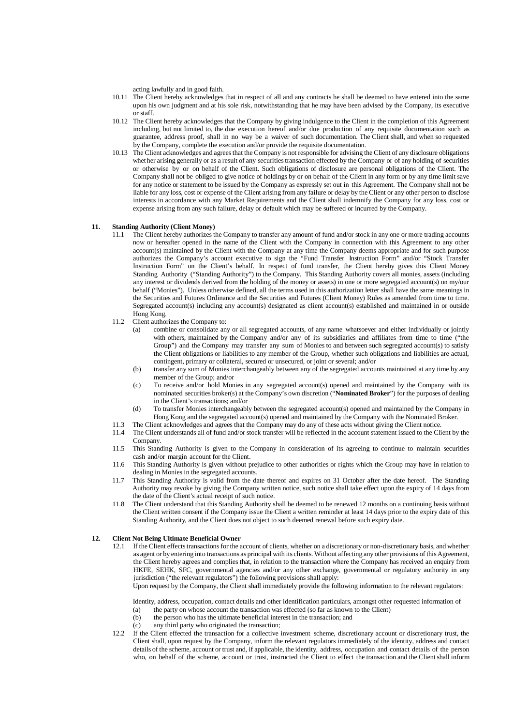acting lawfully and in good faith.

- 10.11 The Client hereby acknowledges that in respect of all and any contracts he shall be deemed to have entered into the same upon his own judgment and at his sole risk, notwithstanding that he may have been advised by the Company, its executive or staff.
- 10.12 The Client hereby acknowledges that the Company by giving indulgence to the Client in the completion of this Agreement including, but not limited to, the due execution hereof and/or due production of any requisite documentation such as guarantee, address proof, shall in no way be a waiver of such documentation. The Client shall, and when so requested by the Company, complete the execution and/or provide the requisite documentation.
- 10.13 The Client acknowledges and agreesthat the Company is not responsible for advising the Client of any disclosure obligations whet her arising generally or as a result of any securities transaction effected by the Company or of any holding of securities or otherwise by or on behalf of the Client. Such obligations of disclosure are personal obligations of the Client. The Company shall not be obliged to give notice of holdings by or on behalf of the Client in any form or by any time limit save for any notice or statement to be issued by the Company as expressly set out in this Agreement. The Company shall not be liable for any loss, cost or expense of the Client arising from any failure or delay by the Client or any other person to disclose interests in accordance with any Market Requirements and the Client shall indemnify the Company for any loss, cost or expense arising from any such failure, delay or default which may be suffered or incurred by the Company.

#### <span id="page-7-0"></span>**11. Standing Authority (Client Money)**

- 11.1 The Client hereby authorizes the Company to transfer any amount of fund and/or stock in any one or more trading accounts now or hereafter opened in the name of the Client with the Company in connection with this Agreement to any other account(s) maintained by the Client with the Company at any time the Company deems appropriate and for such purpose authorizes the Company's account executive to sign the "Fund Transfer Instruction Form" and/or "Stock Transfer Instruction Form" on the Client's behalf. In respect of fund transfer, the Client hereby gives this Client Money Standing Authority ("Standing Authority") to the Company. This Standing Authority covers all monies, assets (including any interest or dividends derived from the holding of the money or assets) in one or more segregated account(s) on my/our behalf ("Monies"). Unless otherwise defined, all the terms used in this authorization letter shall have the same meanings in the Securities and Futures Ordinance and the Securities and Futures (Client Money) Rules as amended from time to time. Segregated account(s) including any account(s) designated as client account(s) established and maintained in or outside Hong Kong.
- 11.2 Client authorizes the Company to:
	- (a) combine or consolidate any or all segregated accounts, of any name whatsoever and either individually or jointly with others, maintained by the Company and/or any of its subsidiaries and affiliates from time to time ("the Group") and the Company may transfer any sum of Monies to and between such segregated account(s) to satisfy the Client obligations or liabilities to any member of the Group, whether such obligations and liabilities are actual, contingent, primary or collateral, secured or unsecured, or joint or several; and/or
	- (b) transfer any sum of Monies interchangeably between any of the segregated accounts maintained at any time by any member of the Group; and/or
	- (c) To receive and/or hold Monies in any segregated account(s) opened and maintained by the Company with its nominated securities broker(s) at the Company's own discretion ("**Nominated Broker**") for the purposes of dealing in the Client's transactions; and/or
	- (d) To transfer Monies interchangeably between the segregated account(s) opened and maintained by the Company in Hong Kong and the segregated account(s) opened and maintained by the Company with the Nominated Broker.
- 11.3 The Client acknowledges and agrees that the Company may do any of these acts without giving the Client notice.
- 11.4 The Client understands all of fund and/or stock transfer will be reflected in the account statement issued to the Client by the Company.
- 11.5 This Standing Authority is given to the Company in consideration of its agreeing to continue to maintain securities cash and/or margin account for the Client.
- 11.6 This Standing Authority is given without prejudice to other authorities or rights which the Group may have in relation to dealing in Monies in the segregated accounts.
- 11.7 This Standing Authority is valid from the date thereof and expires on 31 October after the date hereof. The Standing Authority may revoke by giving the Company written notice, such notice shall take effect upon the expiry of 14 days from the date of the Client's actual receipt of such notice.
- 11.8 The Client understand that this Standing Authority shall be deemed to be renewed 12 months on a continuing basis without the Client written consent if the Company issue the Client a written reminder at least 14 days prior to the expiry date of this Standing Authority, and the Client does not object to such deemed renewal before such expiry date.

#### <span id="page-7-1"></span>**12. Client Not Being Ultimate Beneficial Owner**

12.1 If the Client effectstransactions for the account of clients, whether on a discretionary or non-discretionary basis, and whether as agent or by entering into transactions as principal with its clients. Without affecting any other provisions of this Agreement, the Client hereby agrees and complies that, in relation to the transaction where the Company has received an enquiry from HKFE, SEHK, SFC, governmental agencies and/or any other exchange, governmental or regulatory authority in any jurisdiction ("the relevant regulators") the following provisions shall apply:

Upon request by the Company, the Client shall immediately provide the following information to the relevant regulators:

- Identity, address, occupation, contact details and other identification particulars, amongst other requested information of
- (a) the party on whose account the transaction was effected (so far as known to the Client)
- (b) the person who has the ultimate beneficial interest in the transaction; and
- (c) any third party who originated the transaction;
- 12.2 If the Client effected the transaction for a collective investment scheme, discretionary account or discretionary trust, the Client shall, upon request by the Company, inform the relevant regulators immediately of the identity, address and contact details of the scheme, account or trust and, if applicable, the identity, address, occupation and contact details of the person who, on behalf of the scheme, account or trust, instructed the Client to effect the transaction and the Client shall inform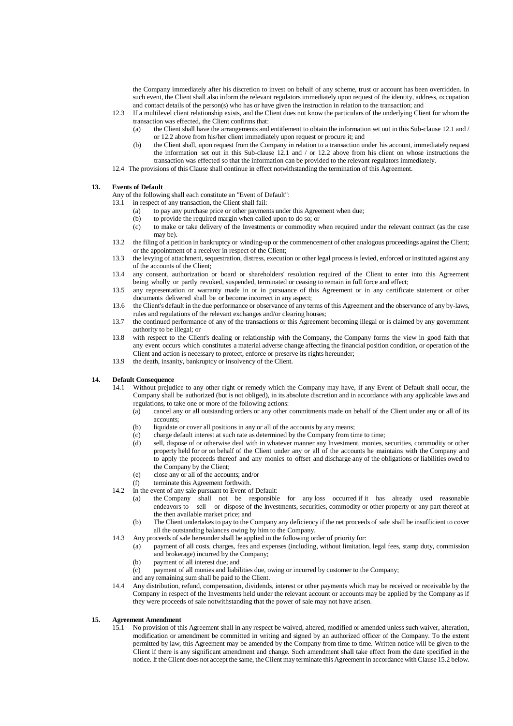the Company immediately after his discretion to invest on behalf of any scheme, trust or account has been overridden. In such event, the Client shall also inform the relevant regulators immediately upon request of the identity, address, occupation and contact details of the person(s) who has or have given the instruction in relation to the transaction; and

- 12.3 If a multilevel client relationship exists, and the Client does not know the particulars of the underlying Client for whom the transaction was effected, the Client confirms that:
	- (a) the Client shall have the arrangements and entitlement to obtain the information set out in this Sub-clause 12.1 and / or 12.2 above from his/her client immediately upon request or procure it; and
	- (b) the Client shall, upon request from the Company in relation to a transaction under his account, immediately request the information set out in this Sub-clause 12.1 and / or 12.2 above from his client on whose instructions the transaction was effected so that the information can be provided to the relevant regulators immediately.
- 12.4 The provisions of this Clause shall continue in effect notwithstanding the termination of this Agreement.

#### <span id="page-8-0"></span>**13. Events of Default**

Any of the following shall each constitute an "Event of Default":

- 13.1 in respect of any transaction, the Client shall fail:
	- (a) to pay any purchase price or other payments under this Agreement when due;
	- (b) to provide the required margin when called upon to do so; or (c) to make or take delivery of the Investments or commodity v
	- to make or take delivery of the Investments or commodity when required under the relevant contract (as the case may be).
- 13.2 the filing of a petition in bankruptcy or winding-up or the commencement of other analogous proceedings against the Client; or the appointment of a receiver in respect of the Client;
- 13.3 the levying of attachment, sequestration, distress, execution or other legal processislevied, enforced or instituted against any of the accounts of the Client;
- 13.4 any consent, authorization or board or shareholders' resolution required of the Client to enter into this Agreement being wholly or partly revoked, suspended, terminated or ceasing to remain in full force and effect;
- 13.5 any representation or warranty made in or in pursuance of this Agreement or in any certificate statement or other documents delivered shall be or become incorrect in any aspect;
- 13.6 the Client's default in the due performance or observance of any terms of this Agreement and the observance of any by-laws, rules and regulations of the relevant exchanges and/or clearing houses;
- 13.7 the continued performance of any of the transactions or this Agreement becoming illegal or is claimed by any government authority to be illegal; or
- 13.8 with respect to the Client's dealing or relationship with the Company, the Company forms the view in good faith that any event occurs which constitutes a material adverse change affecting the financial position condition, or operation of the Client and action is necessary to protect, enforce or preserve its rights hereunder;
- 13.9 the death, insanity, bankruptcy or insolvency of the Client.

#### <span id="page-8-1"></span>**14. Default Consequence**

- 14.1 Without prejudice to any other right or remedy which the Company may have, if any Event of Default shall occur, the Company shall be authorized (but is not obliged), in its absolute discretion and in accordance with any applicable laws and regulations, to take one or more of the following actions:<br>(a) cancel any or all outstanding orders or any other
	- cancel any or all outstanding orders or any other commitments made on behalf of the Client under any or all of its accounts;
	- (b) liquidate or cover all positions in any or all of the accounts by any means;
	- (c) charge default interest at such rate as determined by the Company from time to time;<br>(d) sell, dispose of or otherwise deal with in whatever manner any Investment, monies.
	- sell, dispose of or otherwise deal with in whatever manner any Investment, monies, securities, commodity or other property held for or on behalf of the Client under any or all of the accounts he maintains with the Company and to apply the proceeds thereof and any monies to offset and discharge any of the obligations or liabilities owed to the Company by the Client;
	- (e) close any or all of the accounts; and/or
	- (f) terminate this Agreement forthwith.
- 14.2 In the event of any sale pursuant to Event of Default:
	- (a) the Company shall not be responsible for any loss occurred if it has already used reasonable endeavors to sell or dispose of the Investments, securities, commodity or other property or any part thereof at the then available market price; and
	- (b) The Client undertakesto pay to the Company any deficiency if the net proceeds of sale shall be insufficient to cover all the outstanding balances owing by him to the Company.
- 14.3 Any proceeds of sale hereunder shall be applied in the following order of priority for:
	- (a) payment of all costs, charges, fees and expenses (including, without limitation, legal fees, stamp duty, commission and brokerage) incurred by the Company;
	- (b) payment of all interest due; and
	- (c) payment of all monies and liabilities due, owing or incurred by customer to the Company;
	- and any remaining sum shall be paid to the Client.
- 14.4 Any distribution, refund, compensation, dividends, interest or other payments which may be received or receivable by the Company in respect of the Investments held under the relevant account or accounts may be applied by the Company as if they were proceeds of sale notwithstanding that the power of sale may not have arisen.

### <span id="page-8-2"></span>**15. Agreement Amendment**

15.1 No provision of this Agreement shall in any respect be waived, altered, modified or amended unless such waiver, alteration, modification or amendment be committed in writing and signed by an authorized officer of the Company. To the extent permitted by law, this Agreement may be amended by the Company from time to time. Written notice will be given to the Client if there is any significant amendment and change. Such amendment shall take effect from the date specified in the notice. If the Client does not accept the same, the Client may terminate this Agreement in accordance with Clause 15.2 below.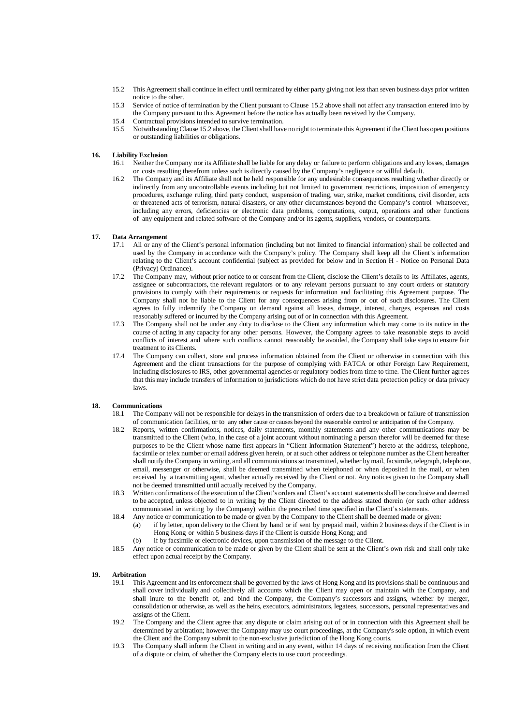- 15.2 This Agreement shall continue in effect until terminated by either party giving not lessthan seven business days prior written notice to the other.
- 15.3 Service of notice of termination by the Client pursuant to Clause 15.2 above shall not affect any transaction entered into by the Company pursuant to this Agreement before the notice has actually been received by the Company.
- 15.4 Contractual provisions intended to survive termination.<br>15.5 Notwithstanding Clause 15.2 above, the Client shall have
- 15.5 Notwithstanding Clause 15.2 above, the Client shall have no right to terminate this Agreement if the Client has open positions or outstanding liabilities or obligations.

#### <span id="page-9-0"></span>**16. Liability Exclusion**

- 16.1 Neither the Company nor its Affiliate shall be liable for any delay or failure to perform obligations and any losses, damages or costs resulting therefrom unless such is directly caused by the Company's negligence or willful default.
- 16.2 The Company and its Affiliate shall not be held responsible for any undesirable consequences resulting whether directly or indirectly from any uncontrollable events including but not limited to government restrictions, imposition of emergency procedures, exchange ruling, third party conduct, suspension of trading, war, strike, market conditions, civil disorder, acts or threatened acts of terrorism, natural disasters, or any other circumstances beyond the Company's control whatsoever, including any errors, deficiencies or electronic data problems, computations, output, operations and other functions of any equipment and related software of the Company and/or its agents, suppliers, vendors, or counterparts.

#### <span id="page-9-1"></span>**17. Data Arrangement**

- 17.1 All or any of the Client's personal information (including but not limited to financial information) shall be collected and used by the Company in accordance with the Company's policy. The Company shall keep all the Client's information relating to the Client's account confidential (subject as provided for below and in Section H - Notice on Personal Data (Privacy) Ordinance).
- 17.2 The Company may, without prior notice to or consent from the Client, disclose the Client's details to its Affiliates, agents, assignee or subcontractors, the relevant regulators or to any relevant persons pursuant to any court orders or statutory provisions to comply with their requirements or requests for information and facilitating this Agreement purpose. The Company shall not be liable to the Client for any consequences arising from or out of such disclosures. The Client agrees to fully indemnify the Company on demand against all losses, damage, interest, charges, expenses and costs reasonably suffered or incurred by the Company arising out of or in connection with this Agreement.
- 17.3 The Company shall not be under any duty to disclose to the Client any information which may come to its notice in the course of acting in any capacity for any other persons. However, the Company agrees to take reasonable steps to avoid conflicts of interest and where such conflicts cannot reasonably be avoided, the Company shall take steps to ensure fair treatment to its Clients.
- 17.4 The Company can collect, store and process information obtained from the Client or otherwise in connection with this Agreement and the client transactions for the purpose of complying with FATCA or other Foreign Law Requirement, including disclosures to IRS, other governmental agencies or regulatory bodies from time to time. The Client further agrees that this may include transfers of information to jurisdictions which do not have strict data protection policy or data privacy laws.

#### <span id="page-9-2"></span>**18. Communications**

- 18.1 The Company will not be responsible for delays in the transmission of orders due to a breakdown or failure of transmission of communication facilities, or to any other cause or causes beyond the reasonable control or anticipation of the Company.
- 18.2 Reports, written confirmations, notices, daily statements, monthly statements and any other communications may be transmitted to the Client (who, in the case of a joint account without nominating a person therefor will be deemed for these purposes to be the Client whose name first appears in "Client Information Statement") hereto at the address, telephone, facsimile or telex number or email address given herein, or at such other address or telephone number asthe Client hereafter shall notify the Company in writing, and all communicationsso transmitted, whether by mail, facsimile, telegraph, telephone, email, messenger or otherwise, shall be deemed transmitted when telephoned or when deposited in the mail, or when received by a transmitting agent, whether actually received by the Client or not. Any notices given to the Company shall not be deemed transmitted until actually received by the Company.
- 18.3 Written confirmations of the execution of the Client's orders and Client's account statementsshall be conclusive and deemed to be accepted, unless objected to in writing by the Client directed to the address stated therein (or such other address communicated in writing by the Company) within the prescribed time specified in the Client's statements.
- 18.4 Any notice or communication to be made or given by the Company to the Client shall be deemed made or given:
	- (a) if by letter, upon delivery to the Client by hand or if sent by prepaid mail, within 2 business days if the Client is in Hong Kong or within 5 business days if the Client is outside Hong Kong; and
		- (b) if by facsimile or electronic devices, upon transmission of the message to the Client.
- 18.5 Any notice or communication to be made or given by the Client shall be sent at the Client's own risk and shall only take effect upon actual receipt by the Company.

#### <span id="page-9-3"></span>**19. Arbitration**

- 19.1 This Agreement and its enforcement shall be governed by the laws of Hong Kong and its provisions shall be continuous and shall cover individually and collectively all accounts which the Client may open or maintain with the Company, and shall inure to the benefit of, and bind the Company, the Company's successors and assigns, whether by merger, consolidation or otherwise, as well as the heirs, executors, administrators, legatees, successors, personal representatives and assigns of the Client.
- 19.2 The Company and the Client agree that any dispute or claim arising out of or in connection with this Agreement shall be determined by arbitration; however the Company may use court proceedings, at the Company's sole option, in which event the Client and the Company submit to the non-exclusive jurisdiction of the Hong Kong courts.
- 19.3 The Company shall inform the Client in writing and in any event, within 14 days of receiving notification from the Client of a dispute or claim, of whether the Company elects to use court proceedings.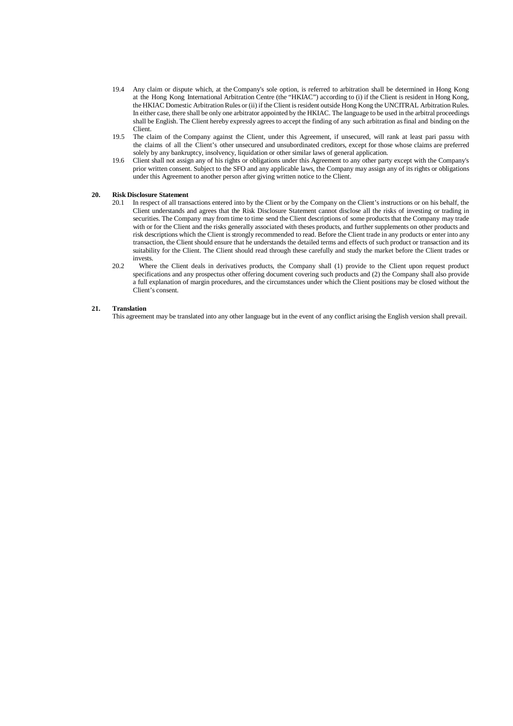- 19.4 Any claim or dispute which, at the Company's sole option, is referred to arbitration shall be determined in Hong Kong at the Hong Kong International Arbitration Centre (the "HKIAC") according to (i) if the Client is resident in Hong Kong, the HKIAC Domestic Arbitration Rules or (ii) if the Client isresident outside Hong Kong the UNCITRAL Arbitration Rules. In either case, there shall be only one arbitrator appointed by the HKIAC. The language to be used in the arbitral proceedings shall be English. The Client hereby expressly agrees to accept the finding of any such arbitration asfinal and binding on the Client.
- 19.5 The claim of the Company against the Client, under this Agreement, if unsecured, will rank at least pari passu with the claims of all the Client's other unsecured and unsubordinated creditors, except for those whose claims are preferred solely by any bankruptcy, insolvency, liquidation or other similar laws of general application.
- 19.6 Client shall not assign any of his rights or obligations under this Agreement to any other party except with the Company's prior written consent. Subject to the SFO and any applicable laws, the Company may assign any of its rights or obligations under this Agreement to another person after giving written notice to the Client.

#### <span id="page-10-0"></span>**20. Risk Disclosure Statement**

- 20.1 In respect of all transactions entered into by the Client or by the Company on the Client's instructions or on his behalf, the Client understands and agrees that the Risk Disclosure Statement cannot disclose all the risks of investing or trading in securities. The Company may from time to time send the Client descriptions of some products that the Company may trade with or for the Client and the risks generally associated with theses products, and further supplements on other products and risk descriptions which the Client is strongly recommended to read. Before the Client trade in any products or enter into any transaction, the Client should ensure that he understands the detailed terms and effects of such product or transaction and its suitability for the Client. The Client should read through these carefully and study the market before the Client trades or invests.
- 20.2 Where the Client deals in derivatives products, the Company shall (1) provide to the Client upon request product specifications and any prospectus other offering document covering such products and (2) the Company shall also provide a full explanation of margin procedures, and the circumstances under which the Client positions may be closed without the Client's consent.

#### <span id="page-10-1"></span>**21. Translation**

This agreement may be translated into any other language but in the event of any conflict arising the English version shall prevail.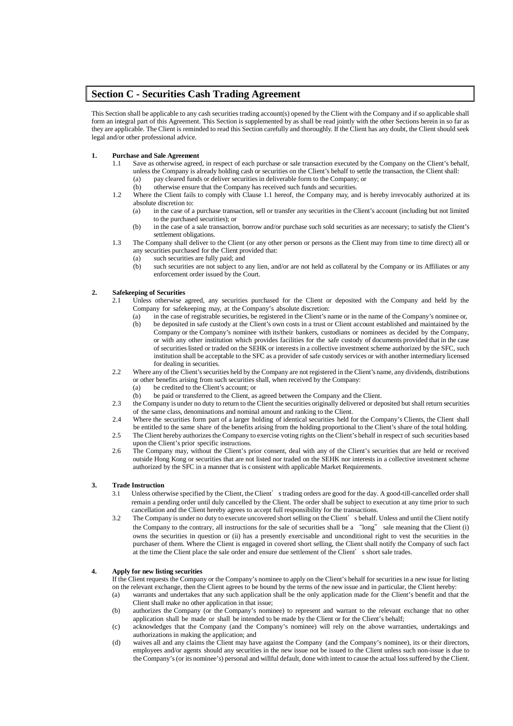## <span id="page-11-0"></span>**Section C - Securities Cash Trading Agreement**

This Section shall be applicable to any cash securities trading account(s) opened by the Client with the Company and if so applicable shall form an integral part of this Agreement. This Section is supplemented by as shall be read jointly with the other Sections herein in so far as they are applicable. The Client is reminded to read this Section carefully and thoroughly. If the Client has any doubt, the Client should seek legal and/or other professional advice.

#### <span id="page-11-1"></span>**1. Purchase and Sale Agreement**

- 1.1 Save as otherwise agreed, in respect of each purchase or sale transaction executed by the Company on the Client's behalf, unless the Company is already holding cash or securities on the Client's behalf to settle the transaction, the Client shall: (a) pay cleared funds or deliver securities in deliverable form to the Company; or (b) otherwise ensure that the Company has received such funds and securities.
	- (b) otherwise ensure that the Company has received such funds and securities.
- 1.2 Where the Client fails to comply with Clause 1.1 hereof, the Company may, and is hereby irrevocably authorized at its absolute discretion to:
	- (a) in the case of a purchase transaction, sell or transfer any securities in the Client's account (including but not limited to the purchased securities); or
	- (b) in the case of a sale transaction, borrow and/or purchase such sold securities as are necessary; to satisfy the Client's settlement obligations.
- 1.3 The Company shall deliver to the Client (or any other person or persons as the Client may from time to time direct) all or any securities purchased for the Client provided that:
	- (a) such securities are fully paid; and<br>(b) such securities are not subject to a
	- such securities are not subject to any lien, and/or are not held as collateral by the Company or its Affiliates or any enforcement order issued by the Court.

#### <span id="page-11-2"></span>**2. Safekeeping of Securities**

- 2.1 Unless otherwise agreed, any securities purchased for the Client or deposited with the Company and held by the Company for safekeeping may, at the Company's absolute discretion:
	- (a) in the case of registrable securities, be registered in the Client's name or in the name of the Company's nominee or,
	- (b) be deposited in safe custody at the Client's own costs in a trust or Client account established and maintained by the Company or the Company's nominee with its/their bankers, custodians or nominees as decided by the Company, or with any other institution which provides facilities for the safe custody of documents provided that in the case of securities listed or traded on the SEHK or interests in a collective investment scheme authorized by the SFC, such institution shall be acceptable to the SFC as a provider of safe custody services or with another intermediary licensed for dealing in securities.
- 2.2 Where any of the Client'ssecurities held by the Company are not registered in the Client's name, any dividends, distributions or other benefits arising from such securities shall, when received by the Company:
	- (a) be credited to the Client's account; or
	- (b) be paid or transferred to the Client, as agreed between the Company and the Client.
- 2.3 the Company is under no duty to return to the Client the securities originally delivered or deposited but shall return securities of the same class, denominations and nominal amount and ranking to the Client.
- 2.4 Where the securities form part of a larger holding of identical securities held for the Company's Clients, the Client shall be entitled to the same share of the benefits arising from the holding proportional to the Client's share of the total holding.
- 2.5 The Client hereby authorizesthe Company to exercise voting rights on the Client's behalf in respect of such securities based upon the Client's prior specific instructions.
- 2.6 The Company may, without the Client's prior consent, deal with any of the Client's securities that are held or received outside Hong Kong or securities that are not listed nor traded on the SEHK nor interests in a collective investment scheme authorized by the SFC in a manner that is consistent with applicable Market Requirements.

#### <span id="page-11-3"></span>**3. Trade Instruction**

- 3.1 Unless otherwise specified by the Client, the Client's trading orders are good for the day. A good-till-cancelled order shall remain a pending order until duly cancelled by the Client. The order shall be subject to execution at any time prior to such cancellation and the Client hereby agrees to accept full responsibility for the transactions.
- 3.2 The Company is under no duty to execute uncovered short selling on the Client's behalf. Unless and until the Client notify the Company to the contrary, all instructions for the sale of securities shall be a "long" sale meaning that the Client (i) owns the securities in question or (ii) has a presently exercisable and unconditional right to vest the securities in the purchaser of them. Where the Client is engaged in covered short selling, the Client shall notify the Company of such fact at the time the Client place the sale order and ensure due settlement of the Client's short sale trades.

#### <span id="page-11-4"></span>**4. Apply for new listing securities**

If the Client requests the Company or the Company's nominee to apply on the Client's behalf for securities in a new issue for listing on the relevant exchange, then the Client agrees to be bound by the terms of the new issue and in particular, the Client hereby:

- (a) warrants and undertakes that any such application shall be the only application made for the Client's benefit and that the Client shall make no other application in that issue;
- (b) authorizes the Company (or the Company's nominee) to represent and warrant to the relevant exchange that no other application shall be made or shall be intended to be made by the Client or for the Client's behalf;
- (c) acknowledges that the Company (and the Company's nominee) will rely on the above warranties, undertakings and authorizations in making the application; and
- (d) waives all and any claims the Client may have against the Company (and the Company's nominee), its or their directors, employees and/or agents should any securities in the new issue not be issued to the Client unless such non-issue is due to the Company's(or its nominee's) personal and willful default, done with intent to cause the actual losssuffered by the Client.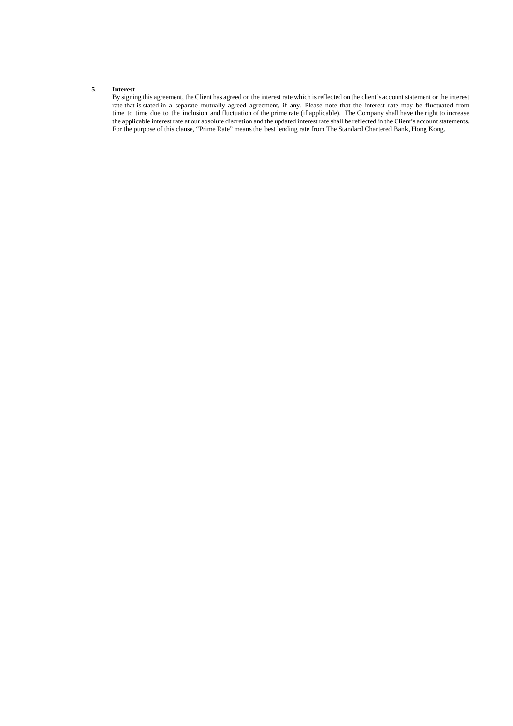#### <span id="page-12-0"></span>**5. Interest**

By signing this agreement, the Client has agreed on the interest rate which isreflected on the client's account statement or the interest Exploration, the chemical speed on the interest rate may be fluctuated from rate that is stated in a separate mutually agreed agreement, if any. Please note that the interest rate may be fluctuated from time to time due to the inclusion and fluctuation of the prime rate (if applicable). The Company shall have the right to increase the applicable interest rate at our absolute discretion and the updated interest rate shall be reflected in the Client's account statements. For the purpose of this clause, "Prime Rate" means the best lending rate from The Standard Chartered Bank, Hong Kong.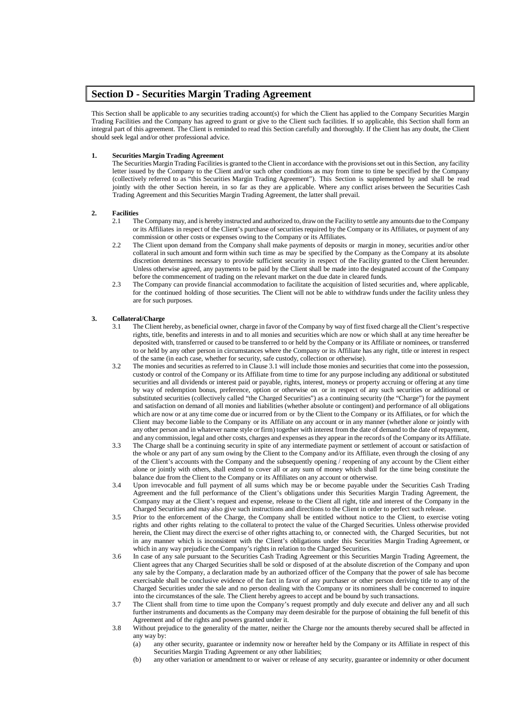## <span id="page-13-0"></span>**Section D - Securities Margin Trading Agreement**

This Section shall be applicable to any securities trading account(s) for which the Client has applied to the Company Securities Margin Trading Facilities and the Company has agreed to grant or give to the Client such facilities. If so applicable, this Section shall form an integral part of this agreement. The Client is reminded to read this Section carefully and thoroughly. If the Client has any doubt, the Client should seek legal and/or other professional advice.

#### <span id="page-13-1"></span>**1. Securities Margin Trading Agreement**

The Securities Margin Trading Facilitiesis granted to the Client in accordance with the provisionsset out in this Section, any facility letter issued by the Company to the Client and/or such other conditions as may from time to time be specified by the Company (collectively referred to as "this Securities Margin Trading Agreement"). This Section is supplemented by and shall be read jointly with the other Section herein, in so far as they are applicable. Where any conflict arises between the Securities Cash Trading Agreement and this Securities Margin Trading Agreement, the latter shall prevail.

#### <span id="page-13-2"></span>**2. Facilities**

- 2.1 The Company may, and is hereby instructed and authorized to, drawon the Facility to settle any amounts due to the Company or its Affiliates in respect of the Client's purchase of securitiesrequired by the Company or its Affiliates, or payment of any commission or other costs or expenses owing to the Company or its Affiliates.
- 2.2 The Client upon demand from the Company shall make payments of deposits or margin in money, securities and/or other collateral in such amount and form within such time as may be specified by the Company as the Company at its absolute discretion determines necessary to provide sufficient security in respect of the Facility granted to the Client hereunder. Unless otherwise agreed, any payments to be paid by the Client shall be made into the designated account of the Company before the commencement of trading on the relevant market on the due date in cleared funds.
- 2.3 The Company can provide financial accommodation to facilitate the acquisition of listed securities and, where applicable, for the continued holding of those securities. The Client will not be able to withdraw funds under the facility unless they are for such purposes.

#### <span id="page-13-3"></span>**3. Collateral/Charge**

- The Client hereby, as beneficial owner, charge in favor of the Company by way of first fixed charge all the Client's respective rights, title, benefits and interests in and to all monies and securities which are now or which shall at any time hereafter be deposited with, transferred or caused to be transferred to or held by the Company or its Affiliate or nominees, or transferred to or held by any other person in circumstances where the Company or its Affiliate has any right, title or interest in respect of the same (in each case, whether for security, safe custody, collection or otherwise).
- 3.2 The monies and securities as referred to in Clause 3.1 will include those monies and securitiesthat come into the possession, custody or control of the Company or its Affiliate from time to time for any purpose including any additional or substituted securities and all dividends or interest paid or payable, rights, interest, moneys or property accruing or offering at any time by way of redemption bonus, preference, option or otherwise on or in respect of any such securities or additional or substituted securities (collectively called "the Charged Securities") as a continuing security (the "Charge") for the payment and satisfaction on demand of all monies and liabilities (whether absolute or contingent) and performance of all obligations which are now or at any time come due or incurred from or by the Client to the Company or its Affiliates, or for which the Client may become liable to the Company or its Affiliate on any account or in any manner (whether alone or jointly with any other person and in whatever name style or firm) together with interest from the date of demand to the date of repayment, and any commission, legal and other costs, charges and expenses asthey appear in the record s of the Company or its Affiliate.
- 3.3 The Charge shall be a continuing security in spite of any intermediate payment or settlement of account or satisfaction of the whole or any part of any sum owing by the Client to the Company and/or its Affiliate, even through the closing of any of the Client's accounts with the Company and the subsequently opening / reopening of any account by the Client either alone or jointly with others, shall extend to cover all or any sum of money which shall for the time being constitute the balance due from the Client to the Company or its Affiliates on any account or otherwise.
- 3.4 Upon irrevocable and full payment of all sums which may be or become payable under the Securities Cash Trading Agreement and the full performance of the Client's obligations under this Securities Margin Trading Agreement, the Company may at the Client's request and expense, release to the Client all right, title and interest of the Company in the Charged Securities and may also give such instructions and directions to the Client in order to perfect such release.
- 3.5 Prior to the enforcement of the Charge, the Company shall be entitled without notice to the Client, to exercise voting rights and other rights relating to the collateral to protect the value of the Charged Securities. Unless otherwise provided herein, the Client may direct the exercise of other rights attaching to, or connected with, the Charged Securities, but not in any manner which is inconsistent with the Client's obligations under this Securities Margin Trading Agreement, or which in any way prejudice the Company's rights in relation to the Charged Securities.
- 3.6 In case of any sale pursuant to the Securities Cash Trading Agreement or this Securities Margin Trading Agreement, the Client agrees that any Charged Securities shall be sold or disposed of at the absolute discretion of the Company and upon any sale by the Company, a declaration made by an authorized officer of the Company that the power of sale has become exercisable shall be conclusive evidence of the fact in favor of any purchaser or other person deriving title to any of the Charged Securities under the sale and no person dealing with the Company or its nominees shall be concerned to inquire into the circumstances of the sale. The Client hereby agrees to accept and be bound by such transactions.
- 3.7 The Client shall from time to time upon the Company's request promptly and duly execute and deliver any and all such further instruments and documents as the Company may deem desirable for the purpose of obtaining the full benefit of this Agreement and of the rights and powers granted under it.
- 3.8 Without prejudice to the generality of the matter, neither the Charge nor the amounts thereby secured shall be affected in any way by:<br>(a) any
	- any other security, guarantee or indemnity now or hereafter held by the Company or its Affiliate in respect of this Securities Margin Trading Agreement or any other liabilities;
	- (b) any other variation or amendment to or waiver or release of any security, guarantee or indemnity or other document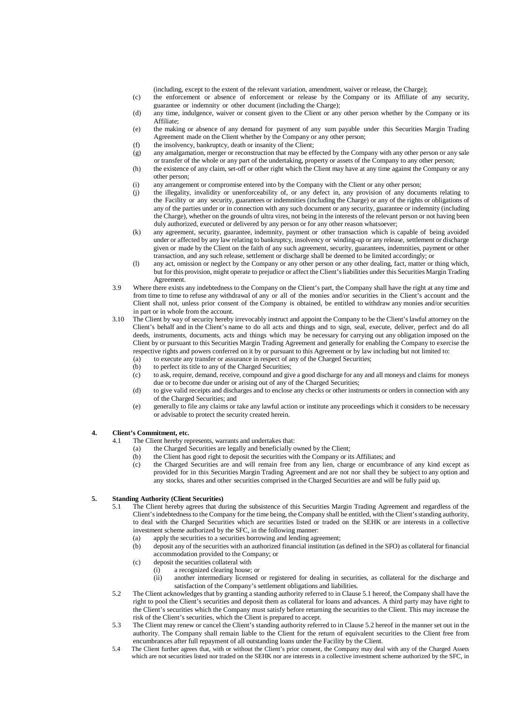(including, except to the extent of the relevant variation, amendment, waiver or release, the Charge);

(c) the enforcement or absence of enforcement or release by the Company or its Affiliate of any security, guarantee or indemnity or other document (including the Charge);

- (d) any time, indulgence, waiver or consent given to the Client or any other person whether by the Company or its Affiliate;
- (e) the making or absence of any demand for payment of any sum payable under this Securities Margin Trading Agreement made on the Client whether by the Company or any other person;
- (f) the insolvency, bankruptcy, death or insanity of the Client;
- (g) any amalgamation, merger or reconstruction that may be effected by the Company with any other person or any sale or transfer of the whole or any part of the undertaking, property or assets of the Company to any other person;
- (h) the existence of any claim, set-off or other right which the Client may have at any time against the Company or any other person;
- (i) any arrangement or compromise entered into by the Company with the Client or any other person;
- (j) the illegality, invalidity or unenforceability of, or any defect in, any provision of any documents relating to the Facility or any security, guarantees or indemnities (including the Charge) or any of the rights or obligations of any of the parties under or in connection with any such document or any security, guarantee or indemnity (including the Charge), whether on the grounds of ultra vires, not being in the interests of the relevant person or not having been duly authorized, executed or delivered by any person or for any other reason whatsoever;
- (k) any agreement, security, guarantee, indemnity, payment or other transaction which is capable of being avoided under or affected by any law relating to bankruptcy, insolvency or winding-up or any release, settlement or discharge given or made by the Client on the faith of any such agreement, security, guarantees, indemnities, payment or other transaction, and any such release, settlement or discharge shall be deemed to be limited accordingly; or
- (l) any act, omission or neglect by the Company or any other person or any other dealing, fact, matter or thing which, but for this provision, might operate to prejudice or affect the Client'sliabilities under this Securities Margin Trading Agreement.
- 3.9 Where there exists any indebtedness to the Company on the Client's part, the Company shall have the right at any time and from time to time to refuse any withdrawal of any or all of the monies and/or securities in the Client's account and the Client shall not, unless prior consent of the Company is obtained, be entitled to withdraw any monies and/or securities in part or in whole from the account.
- 3.10 The Client by way of security hereby irrevocably instruct and appoint the Company to be the Client'slawful attorney on the Client's behalf and in the Client's name to do all acts and things and to sign, seal, execute, deliver, perfect and do all deeds, instruments, documents, acts and things which may be necessary for carrying out any obligation imposed on the Client by or pursuant to this Securities Margin Trading Agreement and generally for enabling the Company to exercise the respective rights and powers conferred on it by or pursuant to this Agreement or by law including but not limited to:
	- (a) to execute any transfer or assurance in respect of any of the Charged Securities;<br>(b) to perfect its title to any of the Charged Securities;
	- to perfect its title to any of the Charged Securities;
	- (c) to ask, require, demand, receive, compound and give a good discharge for any and all moneys and claims for moneys due or to become due under or arising out of any of the Charged Securities;
	- (d) to give valid receipts and discharges and to enclose any checks or other instruments or orders in connection with any of the Charged Securities; and
	- (e) generally to file any claims or take any lawful action or institute any proceedings which it considers to be necessary or advisable to protect the security created herein.

#### <span id="page-14-0"></span>**4. Client's Commitment, etc.**

- 4.1 The Client hereby represents, warrants and undertakes that:
	- (a) the Charged Securities are legally and beneficially owned by the Client;
	- (b) the Client has good right to deposit the securities with the Company or its Affiliates; and (c) the Charged Securities are and will remain free from any lien, charge or encumbrar
	- the Charged Securities are and will remain free from any lien, charge or encumbrance of any kind except as provided for in this Securities Margin Trading Agreement and are not nor shall they be subject to any option and any stocks, shares and other securities comprised in the Charged Securities are and will be fully paid up.

#### <span id="page-14-1"></span>**5. Standing Authority (Client Securities)**

- 5.1 The Client hereby agrees that during the subsistence of this Securities Margin Trading Agreement and regardless of the Client's indebtedness to the Company for the time being, the Company shall be entitled, with the Client's standing authority, to deal with the Charged Securities which are securities listed or traded on the SEHK or are interests in a collective investment scheme authorized by the SFC, in the following manner:
	- (a) apply the securities to a securities borrowing and lending agreement;
	- (b) deposit any of the securities with an authorized financial institution (as defined in the SFO) as collateral for financial accommodation provided to the Company; or
	- (c) deposit the securities collateral with
		- (i) a recognized clearing house; or
			- (ii) another intermediary licensed or registered for dealing in securities, as collateral for the discharge and satisfaction of the Company's settlement obligations and liabilities.
- 5.2 The Client acknowledges that by granting a standing authority referred to in Clause 5.1 hereof, the Company shall have the right to pool the Client's securities and deposit them as collateral for loans and advances. A third party may have right to the Client's securities which the Company must satisfy before returning the securities to the Client. This may increase the risk of the Client's securities, which the Client is prepared to accept.
- 5.3 The Client may renew or cancel the Client's standing authority referred to in Clause 5.2 hereof in the manner set out in the authority. The Company shall remain liable to the Client for the return of equivalent securities to the Client free from encumbrances after full repayment of all outstanding loans under the Facility by the Client.
- 5.4 The Client further agrees that, with or without the Client's prior consent, the Company may deal with any of the Charged Assets which are not securities listed nor traded on the SEHK nor are interests in a collective investment scheme authorized by the SFC, in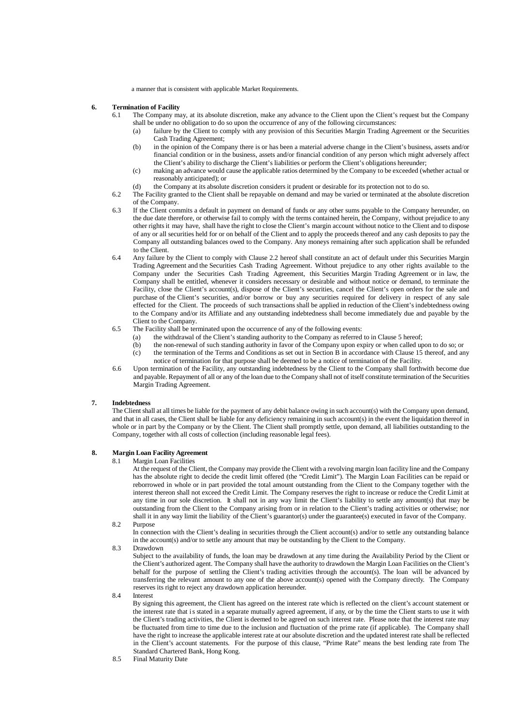a manner that is consistent with applicable Market Requirements.

#### <span id="page-15-0"></span>**6. Termination of Facility**

- 6.1 The Company may, at its absolute discretion, make any advance to the Client upon the Client's request but the Company shall be under no obligation to do so upon the occurrence of any of the following circumstances:<br>(a) failure by the Client to comply with any provision of this Securities Margin Trading A.
	- failure by the Client to comply with any provision of this Securities Margin Trading Agreement or the Securities Cash Trading Agreement;
	- (b) in the opinion of the Company there is or has been a material adverse change in the Client's business, assets and/or financial condition or in the business, assets and/or financial condition of any person which might adversely affect the Client's ability to discharge the Client's liabilities or perform the Client's obligations hereunder;
	- (c) making an advance would cause the applicable ratios determined by the Company to be exceeded (whether actual or reasonably anticipated); or
	- (d) the Company at its absolute discretion considers it prudent or desirable for its protection not to do so.
- 6.2 The Facility granted to the Client shall be repayable on demand and may be varied or terminated at the absolute discretion of the Company.
- 6.3 If the Client commits a default in payment on demand of funds or any other sums payable to the Company hereunder, on the due date therefore, or otherwise fail to comply with the terms contained herein, the Company, without prejudice to any other rightsit may have, shall have the right to close the Client's margin account without notice to the Client and to dispose of any or all securities held for or on behalf of the Client and to apply the proceeds thereof and any cash deposits to pay the Company all outstanding balances owed to the Company. Any moneys remaining after such application shall be refunded to the Client.
- 6.4 Any failure by the Client to comply with Clause 2.2 hereof shall constitute an act of default under this Securities Margin Trading Agreement and the Securities Cash Trading Agreement. Without prejudice to any other rights available to the Company under the Securities Cash Trading Agreement, this Securities Margin Trading Agreement or in law, the Company shall be entitled, whenever it considers necessary or desirable and without notice or demand, to terminate the Facility, close the Client's account(s), dispose of the Client's securities, cancel the Client's open orders for the sale and purchase of the Client's securities, and/or borrow or buy any securities required for delivery in respect of any sale effected for the Client. The proceeds of such transactions shall be applied in reduction of the Client'sindebtedness owing to the Company and/or its Affiliate and any outstanding indebtedness shall become immediately due and payable by the Client to the Company.
- 6.5 The Facility shall be terminated upon the occurrence of any of the following events:
	- (a) the withdrawal of the Client's standing authority to the Company as referred to in Clause 5 hereof;
	- (b) the non-renewal of such standing authority in favor of the Company upon expiry or when called upon to do so; or (c) the termination of the Terms and Conditions as set out in Section B in accordance with Clause 15 thereof, and any notice of termination for that purpose shall be deemed to be a notice of termination of the Facility.
- 6.6 Upon termination of the Facility, any outstanding indebtedness by the Client to the Company shall forthwith become due and payable. Repayment of all or any of the loan due to the Company shall not of itself constitute termination of the Securities Margin Trading Agreement.

#### <span id="page-15-1"></span>**7. Indebtedness**

The Client shall at all times be liable for the payment of any debit balance owing in such account(s) with the Company upon demand, and that in all cases, the Client shall be liable for any deficiency remaining in such account(s) in the event the liquidation thereof in whole or in part by the Company or by the Client. The Client shall promptly settle, upon demand, all liabilities outstanding to the Company, together with all costs of collection (including reasonable legal fees).

#### <span id="page-15-2"></span>**8. Margin Loan Facility Agreement**

8.1 Margin Loan Facilities

At the request of the Client, the Company may provide the Client with a revolving margin loan facility line and the Company has the absolute right to decide the credit limit offered (the "Credit Limit"). The Margin Loan Facilities can be repaid or reborrowed in whole or in part provided the total amount outstanding from the Client to the Company together with the interest thereon shall not exceed the Credit Limit. The Company reserves the right to increase or reduce the Credit Limit at any time in our sole discretion. It shall not in any way limit the Client's liability to settle any amount(s) that may be outstanding from the Client to the Company arising from or in relation to the Client's trading activities or otherwise; nor shall it in any way limit the liability of the Client's guarantor(s) under the guarantee(s) executed in favor of the Company.

8.2 Purpose

In connection with the Client's dealing in securities through the Client account(s) and/or to settle any outstanding balance in the account(s) and/or to settle any amount that may be outstanding by the Client to the Company.

8.3 Drawdown

Subject to the availability of funds, the loan may be drawdown at any time during the Availability Period by the Client or the Client's authorized agent. The Company shall have the authority to drawdown the Margin Loan Facilities on the Client's behalf for the purpose of settling the Client's trading activities through the account(s). The loan will be advanced by transferring the relevant amount to any one of the above account(s) opened with the Company directly. The Company reserves its right to reject any drawdown application hereunder.

#### 8.4 Interest

By signing this agreement, the Client has agreed on the interest rate which is reflected on the client's account statement or the interest rate that is stated in a separate mutually agreed agreement, if any, or by the time the Client starts to use it with the Client's trading activities, the Client is deemed to be agreed on such interest rate. Please note that the interest rate may be fluctuated from time to time due to the inclusion and fluctuation of the prime rate (if applicable). The Company shall have the right to increase the applicable interest rate at our absolute discretion and the updated interest rate shall be reflected in the Client's account statements. For the purpose of this clause, "Prime Rate" means the best lending rate from The Standard Chartered Bank, Hong Kong.

8.5 Final Maturity Date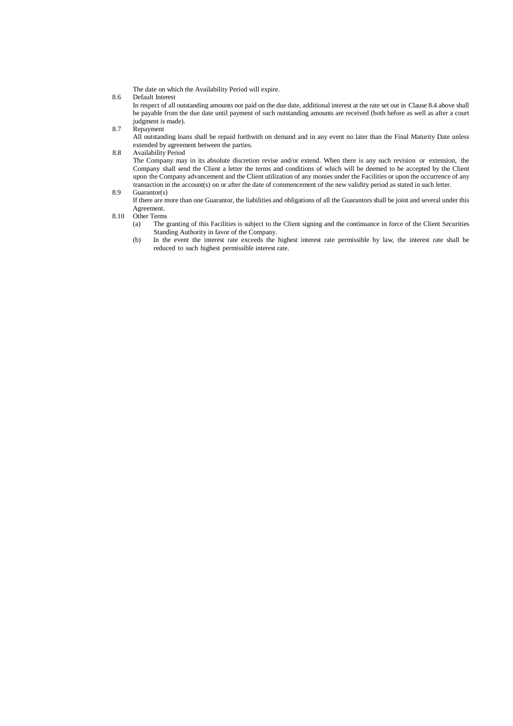The date on which the Availability Period will expire.

8.6 Default Interest

In respect of all outstanding amounts not paid on the due date, additional interest at the rate set out in Clause 8.4 above shall be payable from the due date until payment of such outstanding amounts are received (both before as well as after a court judgment is made).

8.7 Repayment

All outstanding loans shall be repaid forthwith on demand and in any event no later than the Final Maturity Date unless extended by agreement between the parties.

8.8 Availability Period

The Company may in its absolute discretion revise and/or extend. When there is any such revision or extension, the Company shall send the Client a letter the terms and conditions of which will be deemed to be accepted by the Client upon the Company advancement and the Client utilization of any monies under the Facilities or upon the occurrence of any transaction in the account(s) on or after the date of commencement of the new validity period as stated in such letter.

- 8.9 Guarantor(s) If there are more than one Guarantor, the liabilities and obligations of all the Guarantors shall be joint and several under this Agreement.
- 8.10 Other Terms<br>(a) The  $\beta$ 
	- The granting of this Facilities is subject to the Client signing and the continuance in force of the Client Securities Standing Authority in favor of the Company.
	- (b) In the event the interest rate exceeds the highest interest rate permissible by law, the interest rate shall be reduced to such highest permissible interest rate.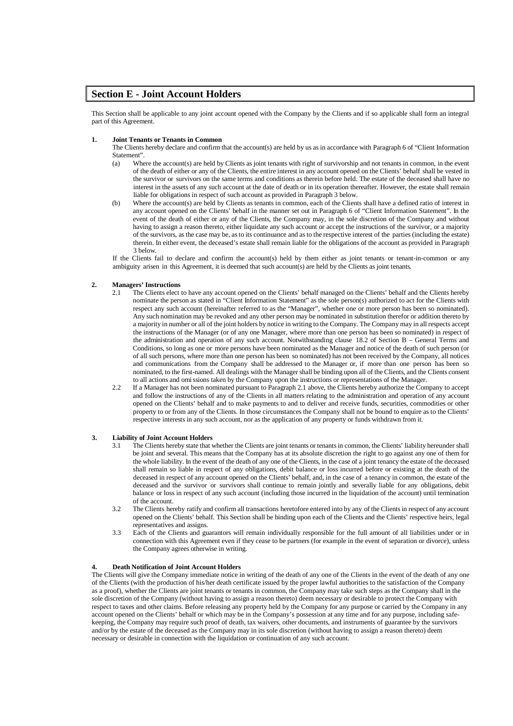## <span id="page-17-0"></span>**Section E - Joint Account Holders**

This Section shall be applicable to any joint account opened with the Company by the Clients and if so applicable shall form an integral part of this Agreement.

#### <span id="page-17-1"></span>**1. Joint Tenants or Tenants in Common**

The Clients hereby declare and confirm that the account(s) are held by us asin accordance with Paragraph 6 of "Client Information Statement".

- (a) Where the account(s) are held by Clients as joint tenants with right of survivorship and not tenants in common, in the event of the death of either or any of the Clients, the entire interest in any account opened on the Clients' behalf shall be vested in the survivor or survivors on the same terms and conditions as therein before held. The estate of the deceased shall have no interest in the assets of any such account at the date of death or in its operation thereafter. However, the estate shall remain liable for obligations in respect of such account as provided in Paragraph 3 below.
- (b) Where the account(s) are held by Clients as tenants in common, each of the Clients shall have a defined ratio of interest in any account opened on the Clients' behalf in the manner set out in Paragraph 6 of "Client Information Statement". In the event of the death of either or any of the Clients, the Company may, in the sole discretion of the Company and without having to assign a reason thereto, either liquidate any such account or accept the instructions of the survivor, or a majority of the survivors, asthe case may be, asto its continuance and asto the respective interest of the parties(including the estate) therein. In either event, the deceased's estate shall remain liable for the obligations of the account as provided in Paragraph 3 below.

If the Clients fail to declare and confirm the account(s) held by them either as joint tenants or tenant-in-common or any ambiguity arisen in this Agreement, it is deemed that such account(s) are held by the Clients as joint tenants.

# <span id="page-17-2"></span>**2. Managers' Instructions**

- 2.1 The Clients elect to have any account opened on the Clients' behalf managed on the Clients' behalf and the Clients hereby nominate the person as stated in "Client Information Statement" as the sole person(s) authorized to act for the Clients with respect any such account (hereinafter referred to as the "Manager", whether one or more person has been so nominated). Any such nomination may be revoked and any other person may be nominated in substitution therefor or addition thereto by a majority in number or all of the joint holders by notice in writing to the Company. The Company may in all respects accept the instructions of the Manager (or of any one Manager, where more than one person has been so nominated) in respect of the administration and operation of any such account. Notwithstanding clause 18.2 of Section B – General Terms and Conditions, so long as one or more persons have been nominated as the Manager and notice of the death of such person (or of all such persons, where more than one person has been so nominated) has not been received by the Company, all notices and communications from the Company shall be addressed to the Manager or, if more than one person has been so nominated, to the first-named. All dealings with the Manager shall be binding upon all of the Clients, and the Clients consent to all actions and omissions taken by the Company upon the instructions or representations of the Manager.
- 2.2 If a Manager has not been nominated pursuant to Paragraph 2.1 above, the Clients hereby authorize the Company to accept and follow the instructions of any of the Clients in all matters relating to the administration and operation of any account opened on the Clients' behalf and to make payments to and to deliver and receive funds, securities, commodities or other property to or from any of the Clients. In those circumstances the Company shall not be bound to enquire as to the Clients' respective interests in any such account, nor as the application of any property or funds withdrawn from it.

#### <span id="page-17-3"></span>**3. Liability of Joint Account Holders**

- 3.1 The Clients hereby state that whether the Clients are joint tenants or tenantsin common, the Clients' liability hereunder shall be joint and several. This means that the Company has at its absolute discretion the right to go against any one of them for the whole liability. In the event of the death of any one of the Clients, in the case of a joint tenancy the estate of the deceased shall remain so liable in respect of any obligations, debit balance or loss incurred before or existing at the death of the deceased in respect of any account opened on the Clients' behalf, and, in the case of a tenancy in common, the estate of the deceased and the survivor or survivors shall continue to remain jointly and severally liable for any obligations, debit balance or loss in respect of any such account (including those incurred in the liquidation of the account) until termination of the account.
- 3.2 The Clients hereby ratify and confirm all transactions heretofore entered into by any of the Clientsin respect of any account opened on the Clients' behalf. This Section shall be binding upon each of the Clients and the Clients' respective heirs, legal representatives and assigns.
- 3.3 Each of the Clients and guarantors will remain individually responsible for the full amount of all liabilities under or in connection with this Agreement even if they cease to be partners (for example in the event of separation or divorce), unless the Company agrees otherwise in writing.

#### <span id="page-17-4"></span>**4. Death Notification of Joint Account Holders**

The Clients will give the Company immediate notice in writing of the death of any one of the Clients in the event of the death of any one of the Clients (with the production of his/her death certificate issued by the proper lawful authorities to the satisfaction of the Company as a proof), whether the Clients are joint tenants or tenants in common, the Company may take such steps as the Company shall in the sole discretion of the Company (without having to assign a reason thereto) deem necessary or desirable to protect the Company with respect to taxes and other claims. Before releasing any property held by the Company for any purpose or carried by the Company in any account opened on the Clients' behalf or which may be in the Company's possession at any time and for any purpose, including safekeeping, the Company may require such proof of death, tax waivers, other documents, and instruments of guarantee by the survivors and/or by the estate of the deceased as the Company may in its sole discretion (without having to assign a reason thereto) deem necessary or desirable in connection with the liquidation or continuation of any such account.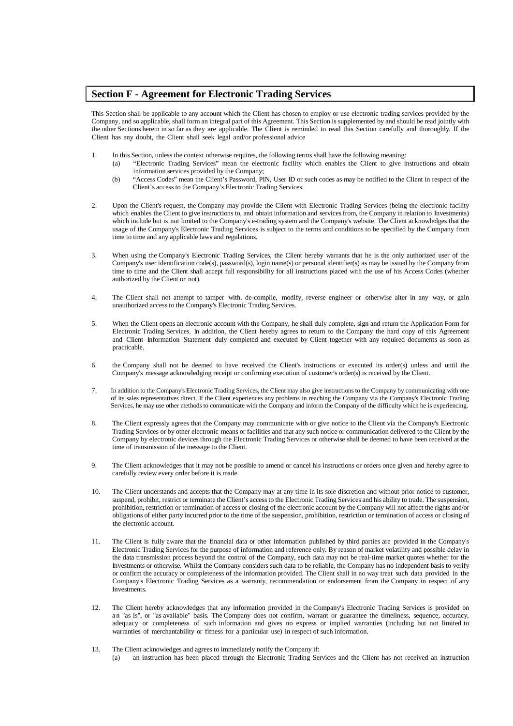## <span id="page-18-0"></span>**Section F - Agreement for Electronic Trading Services**

This Section shall be applicable to any account which the Client has chosen to employ or use electronic trading services provided by the Company, and so applicable, shall form an integral part of this Agreement. This Section issupplemented by and should be read jointly with the other Sections herein in so far as they are applicable. The Client is reminded to read this Section carefully and thoroughly. If the Client has any doubt, the Client shall seek legal and/or professional advice

- 1. In this Section, unless the context otherwise requires, the following terms shall have the following meaning:
	- (a) "Electronic Trading Services" mean the electronic facility which enables the Client to give instructions and obtain information services provided by the Company;
	- (b) "Access Codes" mean the Client's Password, PIN, User ID or such codes as may be notified to the Client in respect of the Client's access to the Company's Electronic Trading Services.
- 2. Upon the Client's request, the Company may provide the Client with Electronic Trading Services (being the electronic facility which enables the Client to give instructions to, and obtain information and services from, the Company in relation to Investments) which include but is not limited to the Company's e-trading system and the Company's website. The Client acknowledges that the usage of the Company's Electronic Trading Services is subject to the terms and conditions to be specified by the Company from time to time and any applicable laws and regulations.
- 3. When using the Company's Electronic Trading Services, the Client hereby warrants that he is the only authorized user of the Company's user identification code(s), password(s), login name(s) or personal identifier(s) as may be issued by the Company from time to time and the Client shall accept full responsibility for all instructions placed with the use of his Access Codes (whether authorized by the Client or not).
- 4. The Client shall not attempt to tamper with, de-compile, modify, reverse engineer or otherwise alter in any way, or gain unauthorized access to the Company's Electronic Trading Services.
- 5. When the Client opens an electronic account with the Company, he shall duly complete, sign and return the Application Form for Electronic Trading Services. In addition, the Client hereby agrees to return to the Company the hard copy of this Agreement and Client Information Statement duly completed and executed by Client together with any required documents as soon as practicable.
- 6. the Company shall not be deemed to have received the Client's instructions or executed its order(s) unless and until the Company's message acknowledging receipt or confirming execution of customer's order(s) is received by the Client.
- 7. In addition to the Company's Electronic Trading Services, the Client may also give instructions to the Company by communicating with one of its sales representatives direct. If the Client experiences any problems in reaching the Company via the Company's Electronic Trading Services, he may use other methods to communicate with the Company and inform the Company of the difficulty which he is experiencing.
- 8. The Client expressly agrees that the Company may communicate with or give notice to the Client via the Company's Electronic Trading Services or by other electronic means or facilities and that any such notice or communication delivered to the Client by the Company by electronic devices through the Electronic Trading Services or otherwise shall be deemed to have been received at the time of transmission of the message to the Client.
- 9. The Client acknowledges that it may not be possible to amend or cancel his instructions or orders once given and hereby agree to carefully review every order before it is made.
- 10. The Client understands and accepts that the Company may at any time in its sole discretion and without prior notice to customer, suspend, prohibit, restrict or terminate the Client's accessto the Electronic Trading Services and his ability to trade. The suspension, prohibition, restriction or termination of access or closing of the electronic account by the Company will not affect the rights and/or obligations of either party incurred prior to the time of the suspension, prohibition, restriction or termination of access or closing of the electronic account.
- 11. The Client is fully aware that the financial data or other information published by third parties are provided in the Company's Electronic Trading Services for the purpose of information and reference only. By reason of market volatility and possible delay in the data transmission process beyond the control of the Company, such data may not be real-time market quotes whether for the Investments or otherwise. Whilst the Company considers such data to be reliable, the Company has no independent basis to verify or confirm the accuracy or completeness of the information provided. The Client shall in no way treat such data provided in the Company's Electronic Trading Services as a warranty, recommendation or endorsement from the Company in respect of any Investments.
- 12. The Client hereby acknowledges that any information provided in the Company's Electronic Trading Services is provided on a n "as is", or "as available" basis. The Company does not confirm, warrant or guarantee the timeliness, sequence, accuracy, adequacy or completeness of such information and gives no express or implied warranties (including but not limited to warranties of merchantability or fitness for a particular use) in respect of such information.
- 13. The Client acknowledges and agrees to immediately notify the Company if:
	- (a) an instruction has been placed through the Electronic Trading Services and the Client has not received an instruction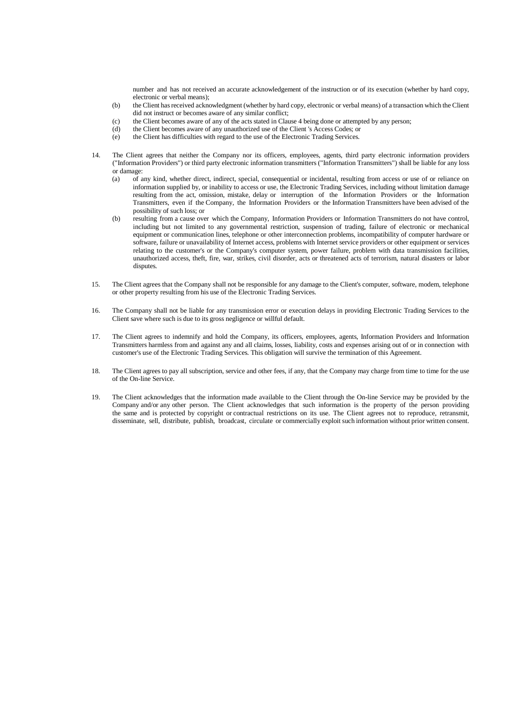number and has not received an accurate acknowledgement of the instruction or of its execution (whether by hard copy, electronic or verbal means);

- (b) the Client hasreceived acknowledgment (whether by hard copy, electronic or verbal means) of a transaction which the Client did not instruct or becomes aware of any similar conflict;
- (c) the Client becomes aware of any of the acts stated in Clause 4 being done or attempted by any person;<br>(d) the Client becomes aware of any unauthorized use of the Client 's Access Codes: or
- the Client becomes aware of any unauthorized use of the Client 's Access Codes; or
- (e) the Client has difficulties with regard to the use of the Electronic Trading Services.
- 14. The Client agrees that neither the Company nor its officers, employees, agents, third party electronic information providers ("Information Providers") or third party electronic information transmitters ("Information Transmitters") shall be liable for any loss or damage:
	- (a) of any kind, whether direct, indirect, special, consequential or incidental, resulting from access or use of or reliance on information supplied by, or inability to access or use, the Electronic Trading Services, including without limitation damage resulting from the act, omission, mistake, delay or interruption of the Information Providers or the Information Transmitters, even if the Company, the Information Providers or the Information Transmitters have been advised of the possibility of such loss; or
	- (b) resulting from a cause over which the Company, Information Providers or Information Transmitters do not have control, including but not limited to any governmental restriction, suspension of trading, failure of electronic or mechanical equipment or communication lines, telephone or other interconnection problems, incompatibility of computer hardware or software, failure or unavailability of Internet access, problems with Internet service providers or other equipment or services relating to the customer's or the Company's computer system, power failure, problem with data transmission facilities, unauthorized access, theft, fire, war, strikes, civil disorder, acts or threatened acts of terrorism, natural disasters or labor disputes.
- 15. The Client agrees that the Company shall not be responsible for any damage to the Client's computer, software, modem, telephone or other property resulting from his use of the Electronic Trading Services.
- 16. The Company shall not be liable for any transmission error or execution delays in providing Electronic Trading Services to the Client save where such is due to its gross negligence or willful default.
- 17. The Client agrees to indemnify and hold the Company, its officers, employees, agents, Information Providers and Information Transmitters harmless from and against any and all claims, losses, liability, costs and expenses arising out of or in connection with customer's use of the Electronic Trading Services. This obligation will survive the termination of this Agreement.
- 18. The Client agrees to pay all subscription, service and other fees, if any, that the Company may charge from time to time for the use of the On-line Service.
- 19. The Client acknowledges that the information made available to the Client through the On-line Service may be provided by the Company and/or any other person. The Client acknowledges that such information is the property of the person providing the same and is protected by copyright or contractual restrictions on its use. The Client agrees not to reproduce, retransmit, disseminate, sell, distribute, publish, broadcast, circulate or commercially exploit such information without prior written consent.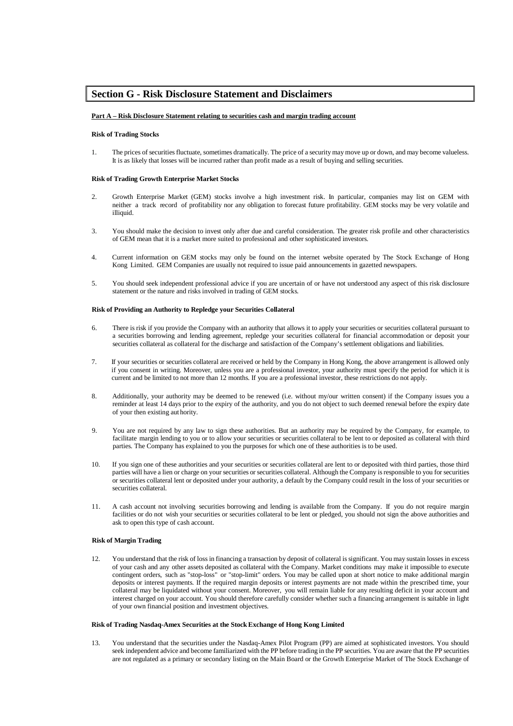## <span id="page-20-0"></span>**Section G - Risk Disclosure Statement and Disclaimers**

#### <span id="page-20-1"></span>**Part A – Risk Disclosure Statement relating to securities cash and margin trading account**

#### **Risk of Trading Stocks**

1. The prices of securitiesfluctuate, sometimes dramatically. The price of a security may move up or down, and may become valueless. It is as likely that losses will be incurred rather than profit made as a result of buying and selling securities.

#### **Risk of Trading Growth Enterprise Market Stocks**

- 2. Growth Enterprise Market (GEM) stocks involve a high investment risk. In particular, companies may list on GEM with neither a track record of profitability nor any obligation to forecast future profitability. GEM stocks may be very volatile and illiquid.
- 3. You should make the decision to invest only after due and careful consideration. The greater risk profile and other characteristics of GEM mean that it is a market more suited to professional and other sophisticated investors.
- 4. Current information on GEM stocks may only be found on the internet website operated by The Stock Exchange of Hong Kong Limited. GEM Companies are usually not required to issue paid announcements in gazetted newspapers.
- 5. You should seek independent professional advice if you are uncertain of or have not understood any aspect of this risk disclosure statement or the nature and risks involved in trading of GEM stocks.

#### **Risk of Providing an Authority to Repledge your Securities Collateral**

- 6. There is risk if you provide the Company with an authority that allows it to apply your securities or securities collateral pursuant to a securities borrowing and lending agreement, repledge your securities collateral for financial accommodation or deposit your securities collateral as collateral for the discharge and satisfaction of the Company's settlement obligations and liabilities.
- 7. If your securities or securities collateral are received or held by the Company in Hong Kong, the above arrangement is allowed only if you consent in writing. Moreover, unless you are a professional investor, your authority must specify the period for which it is current and be limited to not more than 12 months. If you are a professional investor, these restrictions do not apply.
- 8. Additionally, your authority may be deemed to be renewed (i.e. without my/our written consent) if the Company issues you a reminder at least 14 days prior to the expiry of the authority, and you do not object to such deemed renewal before the expiry date of your then existing aut hority.
- 9. You are not required by any law to sign these authorities. But an authority may be required by the Company, for example, to facilitate margin lending to you or to allow your securities or securities collateral to be lent to or deposited as collateral with third parties. The Company has explained to you the purposes for which one of these authorities is to be used.
- 10. If you sign one of these authorities and your securities or securities collateral are lent to or deposited with third parties, those third parties will have a lien or charge on your securities or securities collateral. Although the Company isresponsible to you for securities or securities collateral lent or deposited under your authority, a default by the Company could result in the loss of your securities or securities collateral.
- 11. A cash account not involving securities borrowing and lending is available from the Company. If you do not require margin facilities or do not wish your securities or securities collateral to be lent or pledged, you should not sign the above authorities and ask to open this type of cash account.

#### **Risk of Margin Trading**

12. You understand that the risk of lossin financing a transaction by deposit of collateral issignificant. You may sustain lossesin excess of your cash and any other assets deposited as collateral with the Company. Market conditions may make it impossible to execute contingent orders, such as "stop-loss" or "stop-limit" orders. You may be called upon at short notice to make additional margin deposits or interest payments. If the required margin deposits or interest payments are not made within the prescribed time, your collateral may be liquidated without your consent. Moreover, you will remain liable for any resulting deficit in your account and interest charged on your account. You should therefore carefully consider whether such a financing arrangement is suitable in light of your own financial position and investment objectives.

#### **Risk of Trading Nasdaq-Amex Securities at the StockExchange of Hong Kong Limited**

13. You understand that the securities under the Nasdaq-Amex Pilot Program (PP) are aimed at sophisticated investors. You should seek independent advice and become familiarized with the PP before trading in the PP securities. You are aware that the PP securities are not regulated as a primary or secondary listing on the Main Board or the Growth Enterprise Market of The Stock Exchange of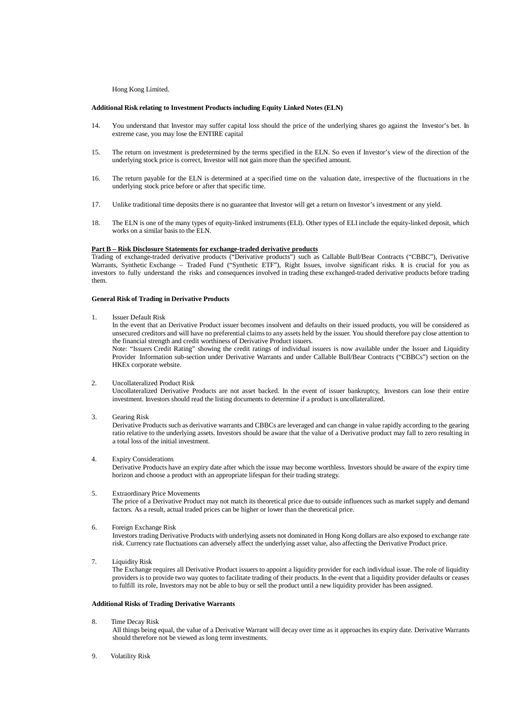Hong Kong Limited.

#### **Additional Risk relating to Investment Products including Equity Linked Notes (ELN)**

- 14. You understand that Investor may suffer capital loss should the price of the underlying shares go against the Investor's bet. In extreme case, you may lose the ENTIRE capital
- 15. The return on investment is predetermined by the terms specified in the ELN. So even if Investor's view of the direction of the underlying stock price is correct, Investor will not gain more than the specified amount.
- 16. The return payable for the ELN is determined at a specified time on the valuation date, irrespective of the fluctuations in the underlying stock price before or after that specific time.
- 17. Unlike traditional time deposits there is no guarantee that Investor will get a return on Investor's investment or any yield.
- 18. The ELN is one of the many types of equity-linked instruments (ELI). Other types of ELI include the equity-linked deposit, which works on a similar basis to the ELN.

#### <span id="page-21-0"></span>**Part B – Risk Disclosure Statements for exchange-traded derivative products**

Trading of exchange-traded derivative products ("Derivative products") such as Callable Bull/Bear Contracts ("CBBC"), Derivative Warrants, Synthetic Exchange – Traded Fund ("Synthetic ETF"), Right Issues, involve significant risks. It is crucial for you as investors to fully understand the risks and consequences involved in trading these exchanged-traded derivative products before trading them.

#### **General Risk of Trading in Derivative Products**

1. Issuer Default Risk

In the event that an Derivative Product issuer becomes insolvent and defaults on their issued products, you will be considered as unsecured creditors and will have no preferential claimsto any assets held by the issuer. You should therefore pay close attention to the financial strength and credit worthiness of Derivative Product issuers.

Note: "Issuers Credit Rating" showing the credit ratings of individual issuers is now available under the Issuer and Liquidity Provider Information sub-section under Derivative Warrants and under Callable Bull/Bear Contracts ("CBBCs") section on the HKEx corporate website.

#### 2. Uncollateralized Product Risk

Uncollateralized Derivative Products are not asset backed. In the event of issuer bankruptcy, Investors can lose their entire investment. Investors should read the listing documents to determine if a product is uncollateralized.

3. Gearing Risk

Derivative Products such as derivative warrants and CBBCs are leveraged and can change in value rapidly according to the gearing ratio relative to the underlying assets. Investors should be aware that the value of a Derivative product may fall to zero resulting in a total loss of the initial investment.

#### 4. Expiry Considerations

Derivative Products have an expiry date after which the issue may become worthless. Investors should be aware of the expiry time horizon and choose a product with an appropriate lifespan for their trading strategy.

5. Extraordinary Price Movements

The price of a Derivative Product may not match its theoretical price due to outside influences such as market supply and demand factors. As a result, actual traded prices can be higher or lower than the theoretical price.

6. Foreign Exchange Risk

Investors trading Derivative Products with underlying assets not dominated in Hong Kong dollars are also exposed to exchange rate risk. Currency rate fluctuations can adversely affect the underlying asset value, also affecting the Derivative Product price.

7. Liquidity Risk

The Exchange requires all Derivative Product issuers to appoint a liquidity provider for each individual issue. The role of liquidity providers is to provide two way quotes to facilitate trading of their products. In the event that a liquidity provider defaults or ceases to fulfill its role, Investors may not be able to buy or sell the product until a new liquidity provider has been assigned.

#### **Additional Risks of Trading Derivative Warrants**

8. Time Decay Risk

All things being equal, the value of a Derivative Warrant will decay over time as it approaches its expiry date. Derivative Warrants should therefore not be viewed as long term investments.

9. Volatility Risk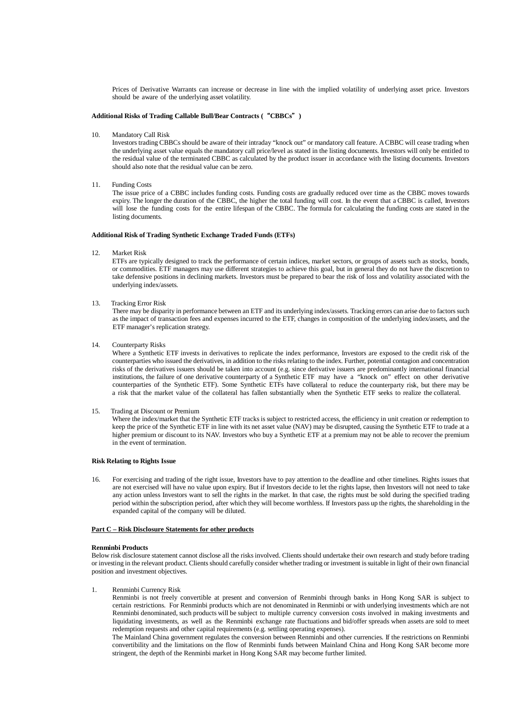Prices of Derivative Warrants can increase or decrease in line with the implied volatility of underlying asset price. Investors should be aware of the underlying asset volatility.

#### **Additional Risks of Trading Callable Bull/Bear Contracts (**"**CBBCs**"**)**

10. Mandatory Call Risk

Investors trading CBBCs should be aware of their intraday "knock out" or mandatory call feature. ACBBC will cease trading when the underlying asset value equals the mandatory call price/level as stated in the listing documents. Investors will only be entitled to the residual value of the terminated CBBC as calculated by the product issuer in accordance with the listing documents. Investors should also note that the residual value can be zero.

11. Funding Costs

The issue price of a CBBC includes funding costs. Funding costs are gradually reduced over time as the CBBC moves towards expiry. The longer the duration of the CBBC, the higher the total funding will cost. In the event that a CBBC is called, Investors will lose the funding costs for the entire lifespan of the CBBC. The formula for calculating the funding costs are stated in the listing documents.

#### **Additional Risk of Trading Synthetic Exchange Traded Funds (ETFs)**

12. Market Risk

ETFs are typically designed to track the performance of certain indices, market sectors, or groups of assets such as stocks, bonds, or commodities. ETF managers may use different strategies to achieve this goal, but in general they do not have the discretion to take defensive positions in declining markets. Investors must be prepared to bear the risk of loss and volatility associated with the underlying index/assets.

13. Tracking Error Risk

There may be disparity in performance between an ETF and its underlying index/assets. Tracking errors can arise due to factors such as the impact of transaction fees and expenses incurred to the ETF, changes in composition of the underlying index/assets, and the ETF manager's replication strategy.

14. Counterparty Risks

Where a Synthetic ETF invests in derivatives to replicate the index performance, Investors are exposed to the credit risk of the counterparties who issued the derivatives, in addition to the risksrelating to the index. Further, potential contagion and concentration risks of the derivatives issuers should be taken into account (e.g. since derivative issuers are predominantly international financial institutions, the failure of one derivative counterparty of a Synthetic ETF may have a "knock on" effect on other derivative counterparties of the Synthetic ETF). Some Synthetic ETFs have collateral to reduce the counterparty risk, but there may be a risk that the market value of the collateral has fallen substantially when the Synthetic ETF seeks to realize the collateral.

15. Trading at Discount or Premium

Where the index/market that the Synthetic ETF tracks is subject to restricted access, the efficiency in unit creation or redemption to keep the price of the Synthetic ETF in line with its net asset value (NAV) may be disrupted, causing the Synthetic ETF to trade at a higher premium or discount to its NAV. Investors who buy a Synthetic ETF at a premium may not be able to recover the premium in the event of termination.

#### **Risk Relating to Rights Issue**

16. For exercising and trading of the right issue, Investors have to pay attention to the deadline and other timelines. Rights issues that are not exercised will have no value upon expiry. But if Investors decide to let the rights lapse, then Investors will not need to take any action unless Investors want to sell the rights in the market. In that case, the rights must be sold during the specified trading period within the subscription period, after which they will become worthless. If Investors pass up the rights, the shareholding in the expanded capital of the company will be diluted.

#### <span id="page-22-0"></span>**Part C – Risk Disclosure Statements for other products**

#### **Renminbi Products**

Below risk disclosure statement cannot disclose all the risksinvolved. Clients should undertake their own research and study before trading or investing in the relevant product. Clients should carefully consider whether trading or investment is suitable in light of their own financial position and investment objectives.

1. Renminbi Currency Risk

Renminbi is not freely convertible at present and conversion of Renminbi through banks in Hong Kong SAR is subject to certain restrictions. For Renminbi products which are not denominated in Renminbi or with underlying investments which are not Renminbi denominated, such products will be subject to multiple currency conversion costs involved in making investments and liquidating investments, as well as the Renminbi exchange rate fluctuations and bid/offer spreads when assets are sold to meet redemption requests and other capital requirements (e.g. settling operating expenses).

The Mainland China government regulates the conversion between Renminbi and other currencies. If the restrictions on Renminbi convertibility and the limitations on the flow of Renminbi funds between Mainland China and Hong Kong SAR become more stringent, the depth of the Renminbi market in Hong Kong SAR may become further limited.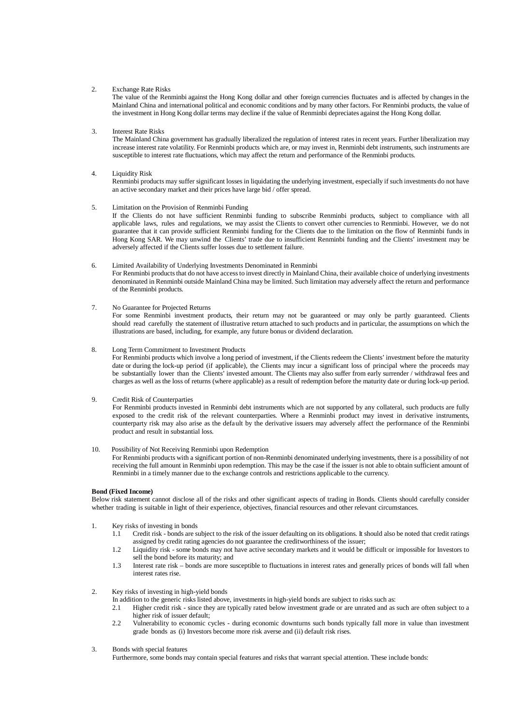#### 2. Exchange Rate Risks

The value of the Renminbi against the Hong Kong dollar and other foreign currencies fluctuates and is affected by changes in the Mainland China and international political and economic conditions and by many other factors. For Renminbi products, the value of the investment in Hong Kong dollar terms may decline if the value of Renminbi depreciates against the Hong Kong dollar.

#### 3. Interest Rate Risks

The Mainland China government has gradually liberalized the regulation of interest rates in recent years. Further liberalization may increase interest rate volatility. For Renminbi products which are, or may invest in, Renminbi debt instruments, such instruments are susceptible to interest rate fluctuations, which may affect the return and performance of the Renminbi products.

#### 4. Liquidity Risk

Renminbi products may suffer significant lossesin liquidating the underlying investment, especially if such investments do not have an active secondary market and their prices have large bid / offer spread.

#### 5. Limitation on the Provision of Renminbi Funding

If the Clients do not have sufficient Renminbi funding to subscribe Renminbi products, subject to compliance with all applicable laws, rules and regulations, we may assist the Clients to convert other currencies to Renminbi. However, we do not guarantee that it can provide sufficient Renminbi funding for the Clients due to the limitation on the flow of Renminbi funds in Hong Kong SAR. We may unwind the Clients' trade due to insufficient Renminbi funding and the Clients' investment may be adversely affected if the Clients suffer losses due to settlement failure.

6. Limited Availability of Underlying Investments Denominated in Renminbi For Renminbi products that do not have access to invest directly in Mainland China, their available choice of underlying investments denominated in Renminbi outside Mainland China may be limited. Such limitation may adversely affect the return and performance of the Renminbi products.

#### 7. No Guarantee for Projected Returns

For some Renminbi investment products, their return may not be guaranteed or may only be partly guaranteed. Clients should read carefully the statement of illustrative return attached to such products and in particular, the assumptions on which the illustrations are based, including, for example, any future bonus or dividend declaration.

#### 8. Long Term Commitment to Investment Products

For Renminbi products which involve a long period of investment, if the Clients redeem the Clients' investment before the maturity date or during the lock-up period (if applicable), the Clients may incur a significant loss of principal where the proceeds may be substantially lower than the Clients' invested amount. The Clients may also suffer from early surrender / withdrawal fees and charges as well as the loss of returns (where applicable) as a result of redemption before the maturity date or during lock-up period.

#### 9. Credit Risk of Counterparties

For Renminbi products invested in Renminbi debt instruments which are not supported by any collateral, such products are fully exposed to the credit risk of the relevant counterparties. Where a Renminbi product may invest in derivative instruments, counterparty risk may also arise as the default by the derivative issuers may adversely affect the performance of the Renminbi product and result in substantial loss.

#### 10. Possibility of Not Receiving Renminbi upon Redemption

For Renminbi products with a significant portion of non-Renminbi denominated underlying investments, there is a possibility of not receiving the full amount in Renminbi upon redemption. This may be the case if the issuer is not able to obtain sufficient amount of Renminbi in a timely manner due to the exchange controls and restrictions applicable to the currency.

#### **Bond (Fixed Income)**

Below risk statement cannot disclose all of the risks and other significant aspects of trading in Bonds. Clients should carefully consider whether trading is suitable in light of their experience, objectives, financial resources and other relevant circumstances.

- 1. Key risks of investing in bonds
	- 1.1 Credit risk bonds are subject to the risk of the issuer defaulting on its obligations. It should also be noted that credit ratings assigned by credit rating agencies do not guarantee the creditworthiness of the issuer;
	- 1.2 Liquidity risk some bonds may not have active secondary markets and it would be difficult or impossible for Investors to sell the bond before its maturity; and
	- 1.3 Interest rate risk bonds are more susceptible to fluctuations in interest rates and generally prices of bonds will fall when interest rates rise.

#### 2. Key risks of investing in high-yield bonds

- In addition to the generic risks listed above, investments in high-yield bonds are subject to risks such as:<br>2.1 Higher credit risk since they are typically rated below investment grade or are unrated and as
- 2.1 Higher credit risk since they are typically rated below investment grade or are unrated and as such are often subject to a higher risk of issuer default;
- 2.2 Vulnerability to economic cycles during economic downturns such bonds typically fall more in value than investment grade bonds as (i) Investors become more risk averse and (ii) default risk rises.
- 3. Bonds with special features

Furthermore, some bonds may contain special features and risks that warrant special attention. These include bonds: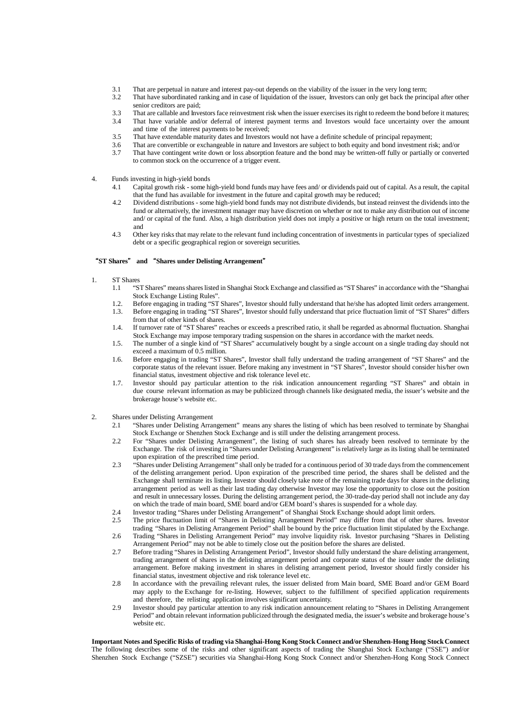- 3.1 That are perpetual in nature and interest pay-out depends on the viability of the issuer in the very long term;<br>3.2 That have subordinated ranking and in case of liquidation of the issuer. Investors can only get back t
- That have subordinated ranking and in case of liquidation of the issuer. Investors can only get back the principal after other senior creditors are paid;
- 3.3 That are callable and Investors face reinvestment risk when the issuer exercises its right to redeem the bond before it matures;<br>3.4 That have variable and/or deferral of interest payment terms and Investors would face
- 3.4 That have variable and/or deferral of interest payment terms and Investors would face uncertainty over the amount and time of the interest payments to be received;
- 3.5 That have extendable maturity dates and Investors would not have a definite schedule of principal repayment;
- 3.6 That are convertible or exchangeable in nature and Investors are subject to both equity and bond investment risk; and/or<br>3.7 That have contingent write down or loss absorption feature and the bond may be written-off fu
- 3.7 That have contingent write down or loss absorption feature and the bond may be written-off fully or partially or converted to common stock on the occurrence of a trigger event.

#### 4. Funds investing in high-yield bonds

- 4.1 Capital growth risk some high-yield bond funds may have fees and/ or dividends paid out of capital. As a result, the capital that the fund has available for investment in the future and capital growth may be reduced;
- 4.2 Dividend distributions some high-yield bond funds may not distribute dividends, but instead reinvest the dividendsinto the fund or alternatively, the investment manager may have discretion on whether or not to make any distribution out of income and/ or capital of the fund. Also, a high distribution yield does not imply a positive or high return on the total investment; and
- 4.3 Other key risksthat may relate to the relevant fund including concentration of investmentsin particular types of specialized debt or a specific geographical region or sovereign securities.

#### "**ST Shares**" **and** "**Shares under Delisting Arrangement**"

- 1. ST Shares<br> $1.1$  "S
	- 1.1 "STShares" meansshareslisted in Shanghai Stock Exchange and classified as "STShares" in accordance with the "Shanghai Stock Exchange Listing Rules".
	- 1.2. Before engaging in trading "ST Shares", Investor should fully understand that he/she has adopted limit orders arrangement.<br>1.3. Before engaging in trading "ST Shares". Investor should fully understand that price fluct
	- 1.3. Before engaging in trading "ST Shares", Investor should fully understand that price fluctuation limit of "ST Shares" differs from that of other kinds of shares.
	- 1.4. If turnover rate of "ST Shares" reaches or exceeds a prescribed ratio, it shall be regarded as abnormal fluctuation. Shanghai Stock Exchange may impose temporary trading suspension on the shares in accordance with the market needs.
	- 1.5. The number of a single kind of "ST Shares" accumulatively bought by a single account on a single trading day should not exceed a maximum of 0.5 million.
	- 1.6. Before engaging in trading "ST Shares", Investor shall fully understand the trading arrangement of "ST Shares" and the corporate status of the relevant issuer. Before making any investment in "ST Shares", Investor should consider his/her own financial status, investment objective and risk tolerance level etc.
	- 1.7. Investor should pay particular attention to the risk indication announcement regarding "ST Shares" and obtain in due course relevant information as may be publicized through channels like designated media, the issuer's website and the brokerage house's website etc.
- 2. Shares under Delisting Arrangement
	- 2.1 "Shares under Delisting Arrangement" means any shares the listing of which has been resolved to terminate by Shanghai Stock Exchange or Shenzhen Stock Exchange and is still under the delisting arrangement process.
	- 2.2 For "Shares under Delisting Arrangement", the listing of such shares has already been resolved to terminate by the Exchange. The risk of investing in "Shares under Delisting Arrangement" isrelatively large asitslisting shall be terminated upon expiration of the prescribed time period.
	- 2.3 "Shares under Delisting Arrangement" shall only be traded for a continuous period of 30 trade daysfrom the commencement of the delisting arrangement period. Upon expiration of the prescribed time period, the shares shall be delisted and the Exchange shall terminate its listing. Investor should closely take note of the remaining trade daysfor sharesin the delisting arrangement period as well as their last trading day otherwise Investor may lose the opportunity to close out the position and result in unnecessary losses. During the delisting arrangement period, the 30-trade-day period shall not include any day on which the trade of main board, SME board and/or GEM board's shares is suspended for a whole day.
	-
	- 2.4 Investor trading "Shares under Delisting Arrangement" of Shanghai Stock Exchange should adopt limit orders.<br>2.5 The price fluctuation limit of "Shares in Delisting Arrangement Period" may differ from that of other sha 2.5 The price fluctuation limit of "Shares in Delisting Arrangement Period" may differ from that of other shares. Investor
	- trading "Shares in Delisting Arrangement Period" shall be bound by the price fluctuation limit stipulated by the Exchange.
	- 2.6 Trading "Shares in Delisting Arrangement Period" may involve liquidity risk. Investor purchasing "Shares in Delisting Arrangement Period" may not be able to timely close out the position before the shares are delisted.
	- 2.7 Before trading "Shares in Delisting Arrangement Period", Investor should fully understand the share delisting arrangement, trading arrangement of shares in the delisting arrangement period and corporate status of the issuer under the delisting arrangement. Before making investment in shares in delisting arrangement period, Investor should firstly consider his financial status, investment objective and risk tolerance level etc.
	- 2.8 In accordance with the prevailing relevant rules, the issuer delisted from Main board, SME Board and/or GEM Board may apply to the Exchange for re-listing. However, subject to the fulfillment of specified application requirements and therefore, the relisting application involves significant uncertainty.
	- 2.9 Investor should pay particular attention to any risk indication announcement relating to "Shares in Delisting Arrangement Period" and obtain relevant information publicized through the designated media, the issuer's website and brokerage house's website etc.

**Important Notes and Specific Risks of trading via Shanghai-Hong Kong Stock Connect and/or Shenzhen-Hong Hong Stock Connect** The following describes some of the risks and other significant aspects of trading the Shanghai Stock Exchange ("SSE") and/or Shenzhen Stock Exchange ("SZSE") securities via Shanghai-Hong Kong Stock Connect and/or Shenzhen-Hong Kong Stock Connect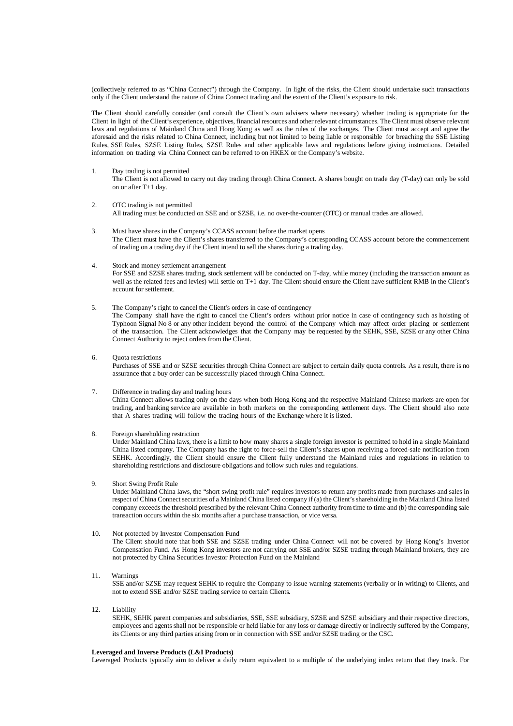(collectively referred to as "China Connect") through the Company. In light of the risks, the Client should undertake such transactions only if the Client understand the nature of China Connect trading and the extent of the Client's exposure to risk.

The Client should carefully consider (and consult the Client's own advisers where necessary) whether trading is appropriate for the Client in light of the Client's experience, objectives, financial resources and other relevant circumstances. The Client must observe relevant laws and regulations of Mainland China and Hong Kong as well as the rules of the exchanges. The Client must accept and agree the aforesaid and the risks related to China Connect, including but not limited to being liable or responsible for breaching the SSE Listing Rules, SSE Rules, SZSE Listing Rules, SZSE Rules and other applicable laws and regulations before giving instructions. Detailed information on trading via China Connect can be referred to on HKEX or the Company's website.

1. Day trading is not permitted

The Client is not allowed to carry out day trading through China Connect. A shares bought on trade day (T-day) can only be sold on or after T+1 day.

#### 2. OTC trading is not permitted All trading must be conducted on SSE and or SZSE, i.e. no over-the-counter (OTC) or manual trades are allowed.

- 3. Must have shares in the Company's CCASS account before the market opens The Client must have the Client's shares transferred to the Company's corresponding CCASS account before the commencement of trading on a trading day if the Client intend to sell the shares during a trading day.
- 4. Stock and money settlement arrangement For SSE and SZSE shares trading, stock settlement will be conducted on T-day, while money (including the transaction amount as well as the related fees and levies) will settle on T+1 day. The Client should ensure the Client have sufficient RMB in the Client's account for settlement.
- 5. The Company's right to cancel the Client's orders in case of contingency The Company shall have the right to cancel the Client's orders without prior notice in case of contingency such as hoisting of Typhoon Signal No 8 or any other incident beyond the control of the Company which may affect order placing or settlement of the transaction. The Client acknowledges that the Company may be requested by the SEHK, SSE, SZSE or any other China Connect Authority to reject orders from the Client.

#### 6. Quota restrictions

Purchases of SSE and or SZSE securities through China Connect are subject to certain daily quota controls. As a result, there is no assurance that a buy order can be successfully placed through China Connect.

#### 7. Difference in trading day and trading hours

China Connect allows trading only on the days when both Hong Kong and the respective Mainland Chinese markets are open for trading, and banking service are available in both markets on the corresponding settlement days. The Client should also note that A shares trading will follow the trading hours of the Exchange where it is listed.

8. Foreign shareholding restriction

Under Mainland China laws, there is a limit to how many shares a single foreign investor is permitted to hold in a single Mainland China listed company. The Company has the right to force-sell the Client's shares upon receiving a forced-sale notification from SEHK. Accordingly, the Client should ensure the Client fully understand the Mainland rules and regulations in relation to shareholding restrictions and disclosure obligations and follow such rules and regulations.

#### 9. Short Swing Profit Rule Under Mainland China laws, the "short swing profit rule" requires investors to return any profits made from purchases and sales in respect of China Connect securities of a Mainland China listed company if (a) the Client'sshareholding in the Mainland China listed company exceedsthe threshold prescribed by the relevant China Connect authority from time to time and (b) the corresponding sale transaction occurs within the six months after a purchase transaction, or vice versa.

## 10. Not protected by Investor Compensation Fund

The Client should note that both SSE and SZSE trading under China Connect will not be covered by Hong Kong's Investor Compensation Fund. As Hong Kong investors are not carrying out SSE and/or SZSE trading through Mainland brokers, they are not protected by China Securities Investor Protection Fund on the Mainland

11. Warnings

SSE and/or SZSE may request SEHK to require the Company to issue warning statements (verbally or in writing) to Clients, and not to extend SSE and/or SZSE trading service to certain Clients.

12. Liability

SEHK, SEHK parent companies and subsidiaries, SSE, SSE subsidiary, SZSE and SZSE subsidiary and their respective directors, employees and agents shall not be responsible or held liable for any loss or damage directly or indirectly suffered by the Company, its Clients or any third parties arising from or in connection with SSE and/or SZSE trading or the CSC.

#### **Leveraged and Inverse Products (L&I Products)**

Leveraged Products typically aim to deliver a daily return equivalent to a multiple of the underlying index return that they track. For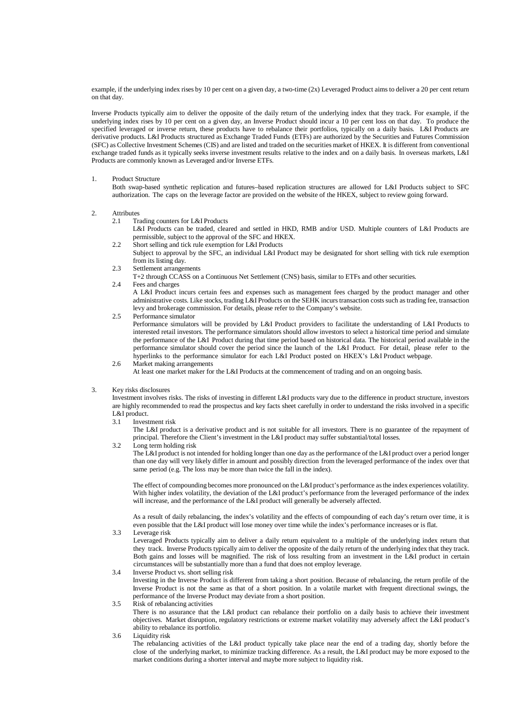example, if the underlying index rises by 10 per cent on a given day, a two-time (2x) Leveraged Product aimsto deliver a 20 per cent return on that day.

Inverse Products typically aim to deliver the opposite of the daily return of the underlying index that they track. For example, if the underlying index rises by 10 per cent on a given day, an Inverse Product should incur a 10 per cent loss on that day. To produce the specified leveraged or inverse return, these products have to rebalance their portfolios, typically on a daily basis. L&I Products are derivative products. L&I Products structured as Exchange Traded Funds (ETFs) are authorized by the Securities and Futures Commission (SFC) as Collective Investment Schemes(CIS) and are listed and traded on the securities market of HKEX. It is different from conventional exchange traded funds as it typically seeks inverse investment results relative to the index and on a daily basis. In overseas markets, L&I Products are commonly known as Leveraged and/or Inverse ETFs.

#### 1. Product Structure

Both swap-based synthetic replication and futures–based replication structures are allowed for L&I Products subject to SFC authorization. The caps on the leverage factor are provided on the website of the HKEX, subject to review going forward.

- 2. Attributes
	- 2.1 Trading counters for L&I Products

L&I Products can be traded, cleared and settled in HKD, RMB and/or USD. Multiple counters of L&I Products are permissible, subject to the approval of the SFC and HKEX.

- 2.2 Short selling and tick rule exemption for L&I Products
- Subject to approval by the SFC, an individual L&I Product may be designated for short selling with tick rule exemption from its listing day.
- 2.3 Settlement arrangements
	- T+2 through CCASS on a Continuous Net Settlement (CNS) basis, similar to ETFs and other securities.
- 2.4 Fees and charges

A L&I Product incurs certain fees and expenses such as management fees charged by the product manager and other administrative costs. Like stocks, trading L&I Products on the SEHK incurs transaction costs such as trading fee, transaction levy and brokerage commission. For details, please refer to the Company's website.

2.5 Performance simulator

Performance simulators will be provided by L&I Product providers to facilitate the understanding of L&I Products to interested retail investors. The performance simulators should allow investors to select a historical time period and simulate the performance of the L&I Product during that time period based on historical data. The historical period available in the performance simulator should cover the period since the launch of the L&I Product. For detail, please refer to the hyperlinks to the performance simulator for each L&I Product posted on HKEX's L&I Product webpage.

2.6 Market making arrangements At least one market maker for the L&I Products at the commencement of trading and on an ongoing basis.

#### 3. Key risks disclosures

Investment involves risks. The risks of investing in different L&I products vary due to the difference in product structure, investors are highly recommended to read the prospectus and key facts sheet carefully in order to understand the risks involved in a specific L&I product.<br>3.1 Invest

Investment risk

The L&I product is a derivative product and is not suitable for all investors. There is no guarantee of the repayment of principal. Therefore the Client's investment in the L&I product may suffer substantial/total losses.

3.2 Long term holding risk

The L&I product is not intended for holding longer than one day asthe performance of the L&I product over a period longer than one day will very likely differ in amount and possibly direction from the leveraged performance of the index over that same period (e.g. The loss may be more than twice the fall in the index).

The effect of compounding becomes more pronounced on the L&I product's performance asthe index experiences volatility. With higher index volatility, the deviation of the L&I product's performance from the leveraged performance of the index will increase, and the performance of the L&I product will generally be adversely affected.

As a result of daily rebalancing, the index's volatility and the effects of compounding of each day's return over time, it is even possible that the L&I product will lose money over time while the index's performance increases or is flat.

3.3 Leverage risk

Leveraged Products typically aim to deliver a daily return equivalent to a multiple of the underlying index return that they track. Inverse Products typically aim to deliver the opposite of the daily return of the underlying index that they track. Both gains and losses will be magnified. The risk of loss resulting from an investment in the L&I product in certain circumstances will be substantially more than a fund that does not employ leverage.

3.4 Inverse Product vs. short selling risk

Investing in the Inverse Product is different from taking a short position. Because of rebalancing, the return profile of the Inverse Product is not the same as that of a short position. In a volatile market with frequent directional swings, the performance of the Inverse Product may deviate from a short position.

3.5 Risk of rebalancing activities

There is no assurance that the L&I product can rebalance their portfolio on a daily basis to achieve their investment objectives. Market disruption, regulatory restrictions or extreme market volatility may adversely affect the L&I product's ability to rebalance its portfolio.

3.6 Liquidity risk

The rebalancing activities of the L&I product typically take place near the end of a trading day, shortly before the close of the underlying market, to minimize tracking difference. As a result, the L&I product may be more exposed to the market conditions during a shorter interval and maybe more subject to liquidity risk.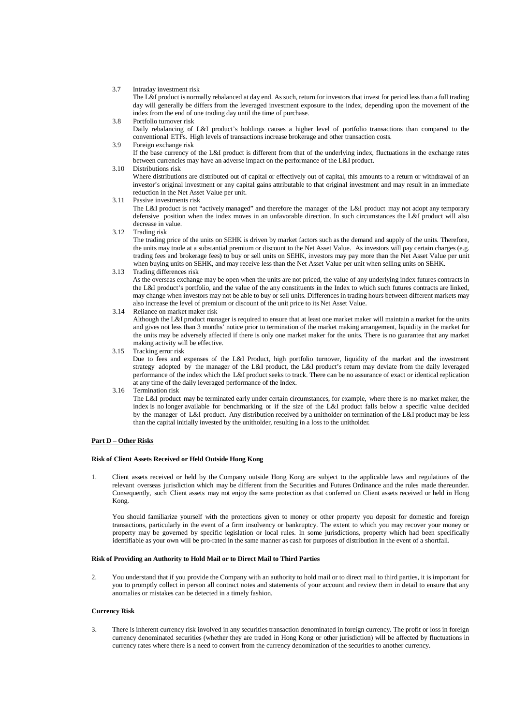#### 3.7 Intraday investment risk

The L&I product is normally rebalanced at day end. Assuch, return for investors that invest for period lessthan a full trading day will generally be differs from the leveraged investment exposure to the index, depending upon the movement of the index from the end of one trading day until the time of purchase.

#### 3.8 Portfolio turnover risk

Daily rebalancing of L&I product's holdings causes a higher level of portfolio transactions than compared to the conventional ETFs. High levels of transactions increase brokerage and other transaction costs.

3.9 Foreign exchange risk

If the base currency of the L&I product is different from that of the underlying index, fluctuations in the exchange rates between currencies may have an adverse impact on the performance of the L&I product.

3.10 Distributions risk

Where distributions are distributed out of capital or effectively out of capital, this amounts to a return or withdrawal of an investor's original investment or any capital gains attributable to that original investment and may result in an immediate reduction in the Net Asset Value per unit.

3.11 Passive investments risk

The L&I product is not "actively managed" and therefore the manager of the L&I product may not adopt any temporary defensive position when the index moves in an unfavorable direction. In such circumstances the L&I product will also decrease in value.

3.12 Trading risk

The trading price of the units on SEHK is driven by market factors such as the demand and supply of the units. Therefore, the units may trade at a substantial premium or discount to the Net Asset Value. As investors will pay certain charges (e.g. trading fees and brokerage fees) to buy or sell units on SEHK, investors may pay more than the Net Asset Value per unit when buying units on SEHK, and may receive less than the Net Asset Value per unit when selling units on SEHK.

#### 3.13 Trading differences risk

As the overseas exchange may be open when the units are not priced, the value of any underlying index futures contracts in the L&I product's portfolio, and the value of the any constituents in the Index to which such futures contracts are linked, may change when investors may not be able to buy or sell units. Differencesin trading hours between different markets may also increase the level of premium or discount of the unit price to its Net Asset Value.

3.14 Reliance on market maker risk

Although the L&I product manager is required to ensure that at least one market maker will maintain a market for the units and gives not less than 3 months' notice prior to termination of the market making arrangement, liquidity in the market for the units may be adversely affected if there is only one market maker for the units. There is no guarantee that any market making activity will be effective.

3.15 Tracking error risk

Due to fees and expenses of the L&I Product, high portfolio turnover, liquidity of the market and the investment strategy adopted by the manager of the L&I product, the L&I product's return may deviate from the daily leveraged performance of the index which the L&I product seeks to track. There can be no assurance of exact or identical replication at any time of the daily leveraged performance of the Index.

3.16 Termination risk

The L&I product may be terminated early under certain circumstances, for example, where there is no market maker, the index is no longer available for benchmarking or if the size of the L&I product falls below a specific value decided by the manager of L&I product. Any distribution received by a unitholder on termination of the L&I product may be less than the capital initially invested by the unitholder, resulting in a loss to the unitholder.

#### <span id="page-27-0"></span>**Part D – Other Risks**

#### **Risk of Client Assets Received or Held Outside Hong Kong**

1. Client assets received or held by the Company outside Hong Kong are subject to the applicable laws and regulations of the relevant overseas jurisdiction which may be different from the Securities and Futures Ordinance and the rules made thereunder. Consequently, such Client assets may not enjoy the same protection as that conferred on Client assets received or held in Hong Kong.

You should familiarize yourself with the protections given to money or other property you deposit for domestic and foreign transactions, particularly in the event of a firm insolvency or bankruptcy. The extent to which you may recover your money or property may be governed by specific legislation or local rules. In some jurisdictions, property which had been specifically identifiable as your own will be pro-rated in the same manner as cash for purposes of distribution in the event of a shortfall.

#### **Risk of Providing an Authority to Hold Mail or to Direct Mail to Third Parties**

2. You understand that if you provide the Company with an authority to hold mail or to direct mail to third parties, it is important for you to promptly collect in person all contract notes and statements of your account and review them in detail to ensure that any anomalies or mistakes can be detected in a timely fashion.

#### **Currency Risk**

3. There is inherent currency risk involved in any securities transaction denominated in foreign currency. The profit or loss in foreign currency denominated securities (whether they are traded in Hong Kong or other jurisdiction) will be affected by fluctuations in currency rates where there is a need to convert from the currency denomination of the securities to another currency.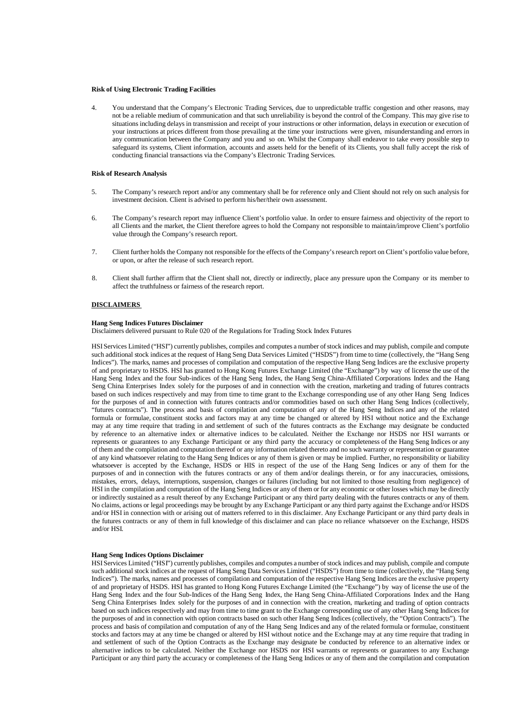#### **Risk of Using Electronic Trading Facilities**

4. You understand that the Company's Electronic Trading Services, due to unpredictable traffic congestion and other reasons, may not be a reliable medium of communication and that such unreliability is beyond the control of the Company. This may give rise to situations including delays in transmission and receipt of your instructions or other information, delays in execution or execution of your instructions at prices different from those prevailing at the time your instructions were given, misunderstanding and errors in any communication between the Company and you and so on. Whilst the Company shall endeavor to take every possible step to safeguard its systems, Client information, accounts and assets held for the benefit of its Clients, you shall fully accept the risk of conducting financial transactions via the Company's Electronic Trading Services.

#### **Risk of Research Analysis**

- 5. The Company's research report and/or any commentary shall be for reference only and Client should not rely on such analysis for investment decision. Client is advised to perform his/her/their own assessment.
- 6. The Company's research report may influence Client's portfolio value. In order to ensure fairness and objectivity of the report to all Clients and the market, the Client therefore agrees to hold the Company not responsible to maintain/improve Client's portfolio value through the Company's research report.
- 7. Client further holds the Company not responsible for the effects of the Company's research report on Client's portfolio value before, or upon, or after the release of such research report.
- 8. Client shall further affirm that the Client shall not, directly or indirectly, place any pressure upon the Company or its member to affect the truthfulness or fairness of the research report.

#### <span id="page-28-0"></span>**DISCLAIMERS**

#### **Hang Seng Indices Futures Disclaimer**

Disclaimers delivered pursuant to Rule 020 of the Regulations for Trading Stock Index Futures

HSIServices Limited ("HSI") currently publishes, compiles and computes a number of stock indices and may publish, compile and compute such additional stock indices at the request of Hang Seng Data Services Limited ("HSDS") from time to time (collectively, the "Hang Seng Indices"). The marks, names and processes of compilation and computation of the respective Hang Seng Indices are the exclusive property of and proprietary to HSDS. HSI has granted to Hong Kong Futures Exchange Limited (the "Exchange") by way of license the use of the Hang Seng Index and the four Sub-indices of the Hang Seng Index, the Hang Seng China-Affiliated Corporations Index and the Hang Seng China Enterprises Index solely for the purposes of and in connection with the creation, marketing and trading of futures contracts based on such indices respectively and may from time to time grant to the Exchange corresponding use of any other Hang Seng Indices for the purposes of and in connection with futures contracts and/or commodities based on such other Hang Seng Indices (collectively, "futures contracts"). The process and basis of compilation and computation of any of the Hang Seng Indices and any of the related formula or formulae, constituent stocks and factors may at any time be changed or altered by HSI without notice and the Exchange may at any time require that trading in and settlement of such of the futures contracts as the Exchange may designate be conducted by reference to an alternative index or alternative indices to be calculated. Neither the Exchange nor HSDS nor HSI warrants or represents or guarantees to any Exchange Participant or any third party the accuracy or completeness of the Hang Seng Indices or any of them and the compilation and computation thereof or any information related thereto and no such warranty or representation or guarantee of any kind whatsoever relating to the Hang Seng Indices or any of them is given or may be implied. Further, no responsibility or liability whatsoever is accepted by the Exchange, HSDS or HIS in respect of the use of the Hang Seng Indices or any of them for the purposes of and in connection with the futures contracts or any of them and/or dealings therein, or for any inaccuracies, omissions, mistakes, errors, delays, interruptions, suspension, changes or failures (including but not limited to those resulting from negligence) of HSI in the compilation and computation of the Hang Seng Indices or any of them or for any economic or other losses which may be directly or indirectly sustained as a result thereof by any Exchange Participant or any third party dealing with the futures contracts or any of them. No claims, actions or legal proceedings may be brought by any Exchange Participant or any third party against the Exchange and/or HSDS and/or HSI in connection with or arising out of matters referred to in this disclaimer. Any Exchange Participant or any third party deals in the futures contracts or any of them in full knowledge of this disclaimer and can place no reliance whatsoever on the Exchange, HSDS and/or HSI.

#### **Hang Seng Indices Options Disclaimer**

HSIServices Limited ("HSI") currently publishes, compiles and computes a number of stock indices and may publish, compile and compute such additional stock indices at the request of Hang Seng Data Services Limited ("HSDS") from time to time (collectively, the "Hang Seng Indices"). The marks, names and processes of compilation and computation of the respective Hang Seng Indices are the exclusive property of and proprietary of HSDS. HSI has granted to Hong Kong Futures Exchange Limited (the "Exchange") by way of license the use of the Hang Seng Index and the four Sub-Indices of the Hang Seng Index, the Hang Seng China-Affiliated Corporations Index and the Hang Seng China Enterprises Index solely for the purposes of and in connection with the creation, marketing and trading of option contracts based on such indices respectively and may from time to time grant to the Exchange corresponding use of any other Hang Seng Indices for the purposes of and in connection with option contracts based on such other Hang Seng Indices (collectively, the "Option Contracts"). The process and basis of compilation and computation of any of the Hang Seng Indices and any of the related formula or formulae, constituent stocks and factors may at any time be changed or altered by HSI without notice and the Exchange may at any time require that trading in and settlement of such of the Option Contracts as the Exchange may designate be conducted by reference to an alternative index or alternative indices to be calculated. Neither the Exchange nor HSDS nor HSI warrants or represents or guarantees to any Exchange Participant or any third party the accuracy or completeness of the Hang Seng Indices or any of them and the compilation and computation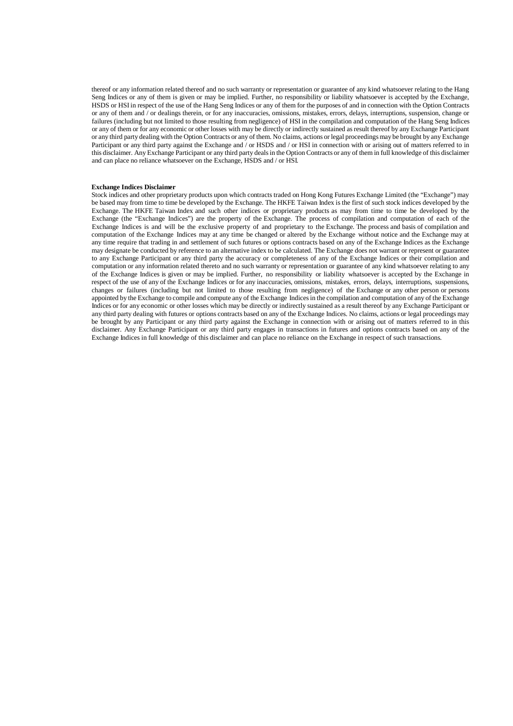thereof or any information related thereof and no such warranty or representation or guarantee of any kind whatsoever relating to the Hang Seng Indices or any of them is given or may be implied. Further, no responsibility or liability whatsoever is accepted by the Exchange, HSDS or HSIin respect of the use of the Hang Seng Indices or any of them for the purposes of and in connection with the Option Contracts or any of them and / or dealings therein, or for any inaccuracies, omissions, mistakes, errors, delays, interruptions, suspension, change or failures (including but not limited to those resulting from negligence) of HSI in the compilation and computation of the Hang Seng Indices or any of them or for any economic or other losses with may be directly or indirectly sustained asresult thereof by any Exchange Participant or any third party dealing with the Option Contracts or any of them. No claims, actions or legal proceedings may be brought by any Exchange Participant or any third party against the Exchange and / or HSDS and / or HSI in connection with or arising out of matters referred to in this disclaimer. Any Exchange Participant or any third party dealsin the Option Contracts or any of them in full knowledge of this disclaimer and can place no reliance whatsoever on the Exchange, HSDS and / or HSI.

#### **Exchange Indices Disclaimer**

Stock indices and other proprietary products upon which contracts traded on Hong Kong Futures Exchange Limited (the "Exchange") may be based may from time to time be developed by the Exchange. The HKFE Taiwan Index is the first of such stock indices developed by the Exchange. The HKFE Taiwan Index and such other indices or proprietary products as may from time to time be developed by the Exchange (the "Exchange Indices") are the property of the Exchange. The process of compilation and computation of each of the Exchange Indices is and will be the exclusive property of and proprietary to the Exchange. The process and basis of compilation and computation of the Exchange Indices may at any time be changed or altered by the Exchange without notice and the Exchange may at any time require that trading in and settlement of such futures or options contracts based on any of the Exchange Indices as the Exchange may designate be conducted by reference to an alternative index to be calculated. The Exchange does not warrant or represent or guarantee to any Exchange Participant or any third party the accuracy or completeness of any of the Exchange Indices or their compilation and computation or any information related thereto and no such warranty or representation or guarantee of any kind whatsoever relating to any of the Exchange Indices is given or may be implied. Further, no responsibility or liability whatsoever is accepted by the Exchange in respect of the use of any of the Exchange Indices or for any inaccuracies, omissions, mistakes, errors, delays, interruptions, suspensions, changes or failures (including but not limited to those resulting from negligence) of the Exchange or any other person or persons appointed by the Exchange to compile and compute any of the Exchange Indicesin the compilation and computation of any of the Exchange Indices or for any economic or other losses which may be directly or indirectly sustained as a result thereof by any Exchange Participant or any third party dealing with futures or options contracts based on any of the Exchange Indices. No claims, actions or legal proceedings may be brought by any Participant or any third party against the Exchange in connection with or arising out of matters referred to in this disclaimer. Any Exchange Participant or any third party engages in transactions in futures and options contracts based on any of the Exchange Indices in full knowledge of this disclaimer and can place no reliance on the Exchange in respect of such transactions.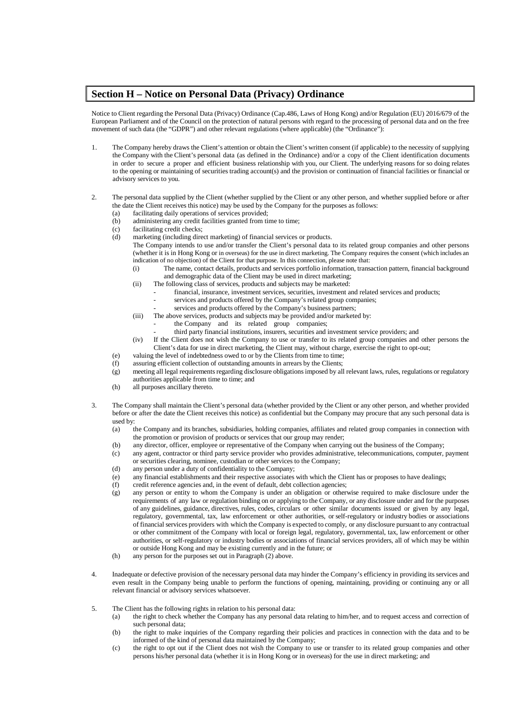## <span id="page-30-0"></span>**Section H – Notice on Personal Data (Privacy) Ordinance**

Notice to Client regarding the Personal Data (Privacy) Ordinance (Cap.486, Laws of Hong Kong) and/or Regulation (EU) 2016/679 of the European Parliament and of the Council on the protection of natural persons with regard to the processing of personal data and on the free movement of such data (the "GDPR") and other relevant regulations (where applicable) (the "Ordinance"):

- 1. The Company hereby draws the Client's attention or obtain the Client's written consent (if applicable) to the necessity of supplying the Company with the Client's personal data (as defined in the Ordinance) and/or a copy of the Client identification documents in order to secure a proper and efficient business relationship with you, our Client. The underlying reasons for so doing relates to the opening or maintaining of securities trading account(s) and the provision or continuation of financial facilities or financial or advisory services to you.
- 2. The personal data supplied by the Client (whether supplied by the Client or any other person, and whether supplied before or after the date the Client receives this notice) may be used by the Company for the purposes as follows:
	- (a) facilitating daily operations of services provided;
	- (b) administering any credit facilities granted from time to time;<br>(c) facilitating credit checks;
	- (c) facilitating credit checks;<br>(d) marketing (including dire
		- marketing (including direct marketing) of financial services or products.
			- The Company intends to use and/or transfer the Client's personal data to its related group companies and other persons (whether it is in Hong Kong or in overseas) for the use in direct marketing. The Company requires the consent (which includes an indication of no objection) of the Client for that purpose. In this connection, please note that:
				- (i) The name, contact details, products and services portfolio information, transaction pattern, financial background and demographic data of the Client may be used in direct marketing;
				- (ii) The following class of services, products and subjects may be marketed:
					- financial, insurance, investment services, securities, investment and related services and products;
					- services and products offered by the Company's related group companies;
					- services and products offered by the Company's business partners:
				- (iii) The above services, products and subjects may be provided and/or marketed by:
					- the Company and its related group companies;
					- third party financial institutions, insurers, securities and investment service providers; and
			- (iv) If the Client does not wish the Company to use or transfer to its related group companies and other persons the Client's data for use in direct marketing, the Client may, without charge, exercise the right to opt-out;
	- (e) valuing the level of indebtedness owed to or by the Clients from time to time;
	- (f) assuring efficient collection of outstanding amounts in arrears by the Clients;
	- (g) meeting all legal requirementsregarding disclosure obligationsimposed by all relevant laws, rules, regulations or regulatory authorities applicable from time to time; and
	- (h) all purposes ancillary thereto.
- 3. The Company shall maintain the Client's personal data (whether provided by the Client or any other person, and whether provided before or after the date the Client receives this notice) as confidential but the Company may procure that any such personal data is used by:
	- (a) the Company and its branches, subsidiaries, holding companies, affiliates and related group companies in connection with the promotion or provision of products or services that our group may render;
	- (b) any director, officer, employee or representative of the Company when carrying out the business of the Company;
	- (c) any agent, contractor or third party service provider who provides administrative, telecommunications, computer, payment or securities clearing, nominee, custodian or other services to the Company;
	- (d) any person under a duty of confidentiality to the Company;
	- (e) any financial establishments and their respective associates with which the Client has or proposes to have dealings;
	- (f) credit reference agencies and, in the event of default, debt collection agencies;
	- (g) any person or entity to whom the Company is under an obligation or otherwise required to make disclosure under the requirements of any law or regulation binding on or applying to the Company, or any disclosure under and for the purposes of any guidelines, guidance, directives, rules, codes, circulars or other similar documents issued or given by any legal, regulatory, governmental, tax, law enforcement or other authorities, or self-regulatory or industry bodies or associations of financial services providers with which the Company is expected to comply, or any disclosure pursuant to any contractual or other commitment of the Company with local or foreign legal, regulatory, governmental, tax, law enforcement or other authorities, or self-regulatory or industry bodies or associations of financial services providers, all of which may be within or outside Hong Kong and may be existing currently and in the future; or
	- (h) any person for the purposes set out in Paragraph (2) above.
- 4. Inadequate or defective provision of the necessary personal data may hinder the Company's efficiency in providing its services and even result in the Company being unable to perform the functions of opening, maintaining, providing or continuing any or all relevant financial or advisory services whatsoever.
- 5. The Client has the following rights in relation to his personal data:
	- (a) the right to check whether the Company has any personal data relating to him/her, and to request access and correction of such personal data;
	- (b) the right to make inquiries of the Company regarding their policies and practices in connection with the data and to be informed of the kind of personal data maintained by the Company;
	- (c) the right to opt out if the Client does not wish the Company to use or transfer to its related group companies and other persons his/her personal data (whether it is in Hong Kong or in overseas) for the use in direct marketing; and